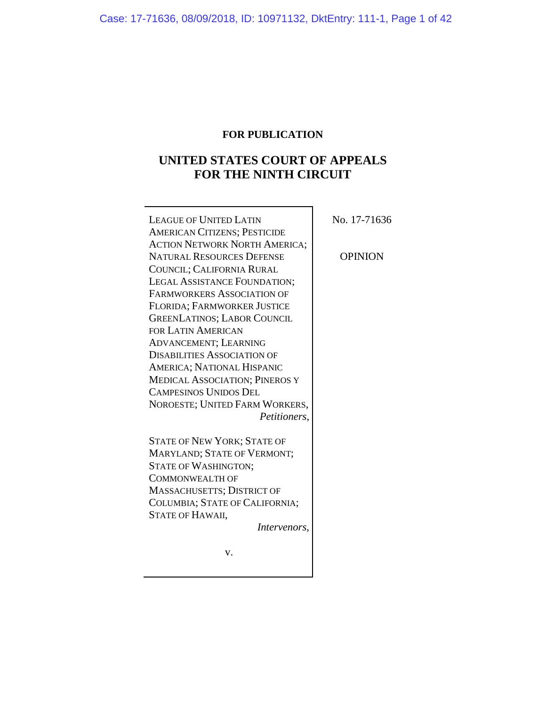# **FOR PUBLICATION**

# **UNITED STATES COURT OF APPEALS FOR THE NINTH CIRCUIT**

| <b>LEAGUE OF UNITED LATIN</b>         | No. 17-71636   |
|---------------------------------------|----------------|
| <b>AMERICAN CITIZENS; PESTICIDE</b>   |                |
| <b>ACTION NETWORK NORTH AMERICA;</b>  |                |
| <b>NATURAL RESOURCES DEFENSE</b>      | <b>OPINION</b> |
| COUNCIL; CALIFORNIA RURAL             |                |
| LEGAL ASSISTANCE FOUNDATION;          |                |
| <b>FARMWORKERS ASSOCIATION OF</b>     |                |
| FLORIDA; FARMWORKER JUSTICE           |                |
| <b>GREENLATINOS; LABOR COUNCIL</b>    |                |
| <b>FOR LATIN AMERICAN</b>             |                |
| <b>ADVANCEMENT; LEARNING</b>          |                |
| <b>DISABILITIES ASSOCIATION OF</b>    |                |
| <b>AMERICA; NATIONAL HISPANIC</b>     |                |
| <b>MEDICAL ASSOCIATION; PINEROS Y</b> |                |
| <b>CAMPESINOS UNIDOS DEL</b>          |                |
| NOROESTE; UNITED FARM WORKERS,        |                |
| Petitioners,                          |                |
| <b>STATE OF NEW YORK; STATE OF</b>    |                |
| MARYLAND; STATE OF VERMONT;           |                |
| <b>STATE OF WASHINGTON;</b>           |                |
| <b>COMMONWEALTH OF</b>                |                |
| <b>MASSACHUSETTS; DISTRICT OF</b>     |                |
| COLUMBIA; STATE OF CALIFORNIA;        |                |
| STATE OF HAWAII,                      |                |
| Intervenors,                          |                |
| v.                                    |                |
|                                       |                |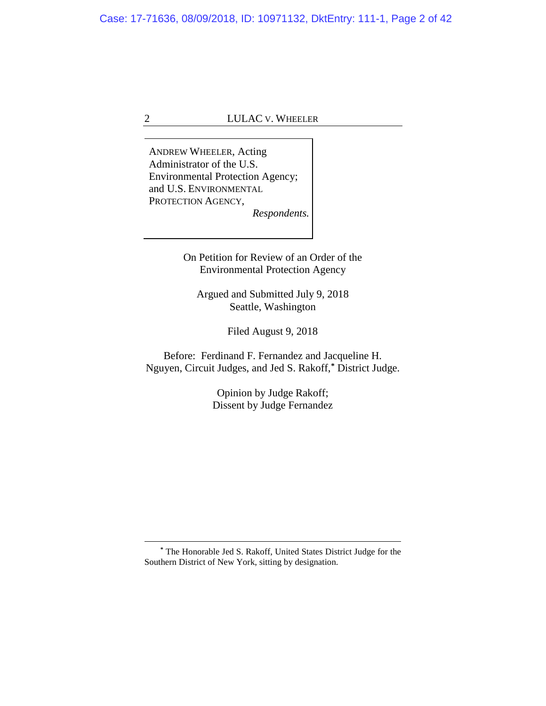ANDREW WHEELER, Acting Administrator of the U.S. Environmental Protection Agency; and U.S. ENVIRONMENTAL PROTECTION AGENCY, *Respondents.*

> On Petition for Review of an Order of the Environmental Protection Agency

Argued and Submitted July 9, 2018 Seattle, Washington

Filed August 9, 2018

Before: Ferdinand F. Fernandez and Jacqueline H. Nguyen, Circuit Judges, and Jed S. Rakoff, **[\\*](#page-1-0)** District Judge.

> Opinion by Judge Rakoff; Dissent by Judge Fernandez

<span id="page-1-0"></span>**\*** The Honorable Jed S. Rakoff, United States District Judge for the Southern District of New York, sitting by designation.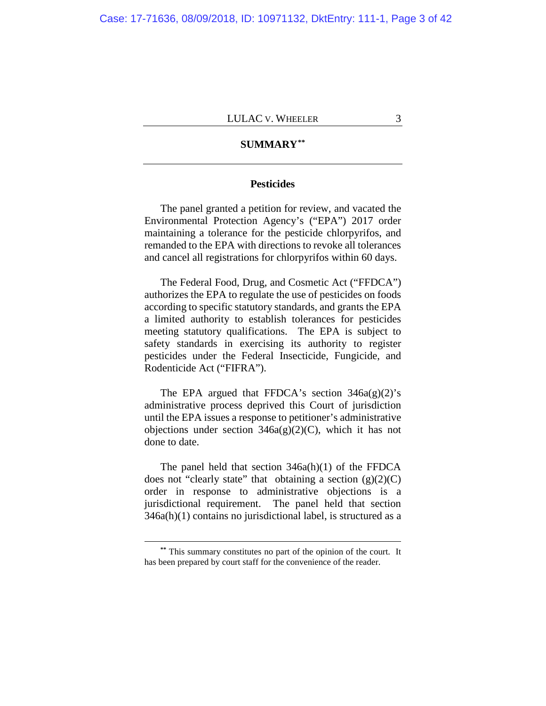# **SUMMARY[\\*\\*](#page-2-0)**

# **Pesticides**

The panel granted a petition for review, and vacated the Environmental Protection Agency's ("EPA") 2017 order maintaining a tolerance for the pesticide chlorpyrifos, and remanded to the EPA with directions to revoke all tolerances and cancel all registrations for chlorpyrifos within 60 days.

The Federal Food, Drug, and Cosmetic Act ("FFDCA") authorizes the EPA to regulate the use of pesticides on foods according to specific statutory standards, and grants the EPA a limited authority to establish tolerances for pesticides meeting statutory qualifications. The EPA is subject to safety standards in exercising its authority to register pesticides under the Federal Insecticide, Fungicide, and Rodenticide Act ("FIFRA").

The EPA argued that FFDCA's section  $346a(g)(2)$ 's administrative process deprived this Court of jurisdiction until the EPA issues a response to petitioner's administrative objections under section  $346a(g)(2)(C)$ , which it has not done to date.

The panel held that section 346a(h)(1) of the FFDCA does not "clearly state" that obtaining a section  $(g)(2)(C)$ order in response to administrative objections is a jurisdictional requirement. The panel held that section  $346a(h)(1)$  contains no jurisdictional label, is structured as a

<span id="page-2-0"></span>**<sup>\*\*</sup>** This summary constitutes no part of the opinion of the court. It has been prepared by court staff for the convenience of the reader.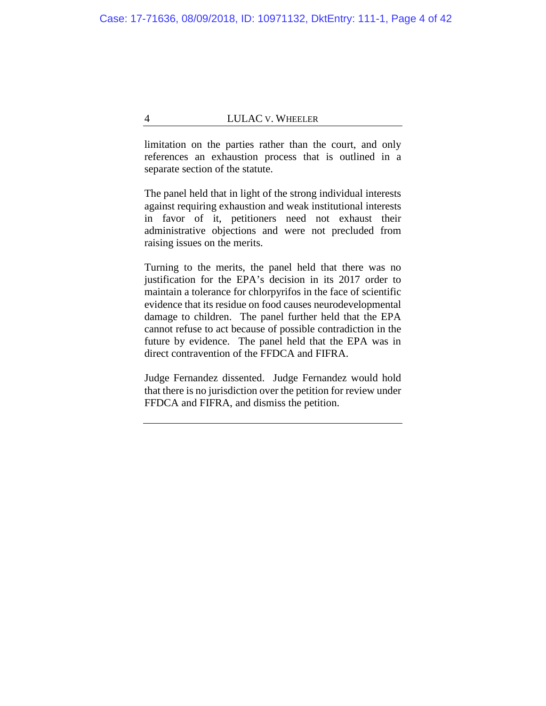limitation on the parties rather than the court, and only references an exhaustion process that is outlined in a separate section of the statute.

The panel held that in light of the strong individual interests against requiring exhaustion and weak institutional interests in favor of it, petitioners need not exhaust their administrative objections and were not precluded from raising issues on the merits.

Turning to the merits, the panel held that there was no justification for the EPA's decision in its 2017 order to maintain a tolerance for chlorpyrifos in the face of scientific evidence that its residue on food causes neurodevelopmental damage to children. The panel further held that the EPA cannot refuse to act because of possible contradiction in the future by evidence. The panel held that the EPA was in direct contravention of the FFDCA and FIFRA.

Judge Fernandez dissented. Judge Fernandez would hold that there is no jurisdiction over the petition for review under FFDCA and FIFRA, and dismiss the petition.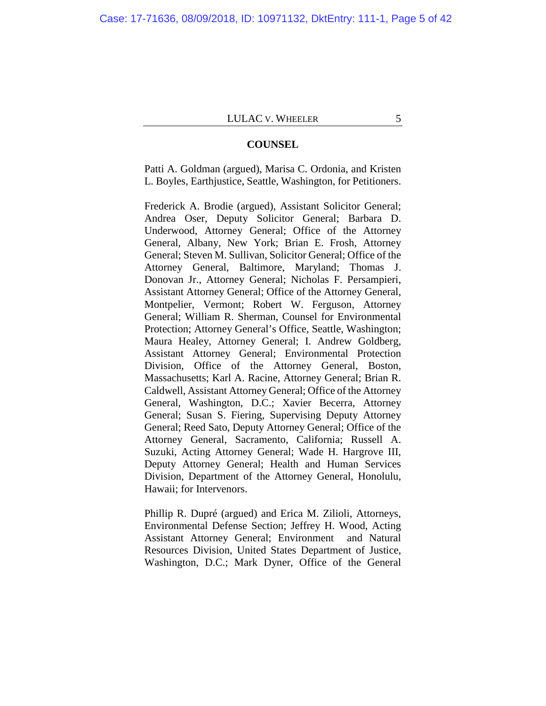#### **COUNSEL**

Patti A. Goldman (argued), Marisa C. Ordonia, and Kristen L. Boyles, Earthjustice, Seattle, Washington, for Petitioners.

Frederick A. Brodie (argued), Assistant Solicitor General; Andrea Oser, Deputy Solicitor General; Barbara D. Underwood, Attorney General; Office of the Attorney General, Albany, New York; Brian E. Frosh, Attorney General; Steven M. Sullivan, Solicitor General; Office of the Attorney General, Baltimore, Maryland; Thomas J. Donovan Jr., Attorney General; Nicholas F. Persampieri, Assistant Attorney General; Office of the Attorney General, Montpelier, Vermont; Robert W. Ferguson, Attorney General; William R. Sherman, Counsel for Environmental Protection; Attorney General's Office, Seattle, Washington; Maura Healey, Attorney General; I. Andrew Goldberg, Assistant Attorney General; Environmental Protection Division, Office of the Attorney General, Boston, Massachusetts; Karl A. Racine, Attorney General; Brian R. Caldwell, Assistant Attorney General; Office of the Attorney General, Washington, D.C.; Xavier Becerra, Attorney General; Susan S. Fiering, Supervising Deputy Attorney General; Reed Sato, Deputy Attorney General; Office of the Attorney General, Sacramento, California; Russell A. Suzuki, Acting Attorney General; Wade H. Hargrove III, Deputy Attorney General; Health and Human Services Division, Department of the Attorney General, Honolulu, Hawaii; for Intervenors.

Phillip R. Dupré (argued) and Erica M. Zilioli, Attorneys, Environmental Defense Section; Jeffrey H. Wood, Acting Assistant Attorney General; Environment and Natural Resources Division, United States Department of Justice, Washington, D.C.; Mark Dyner, Office of the General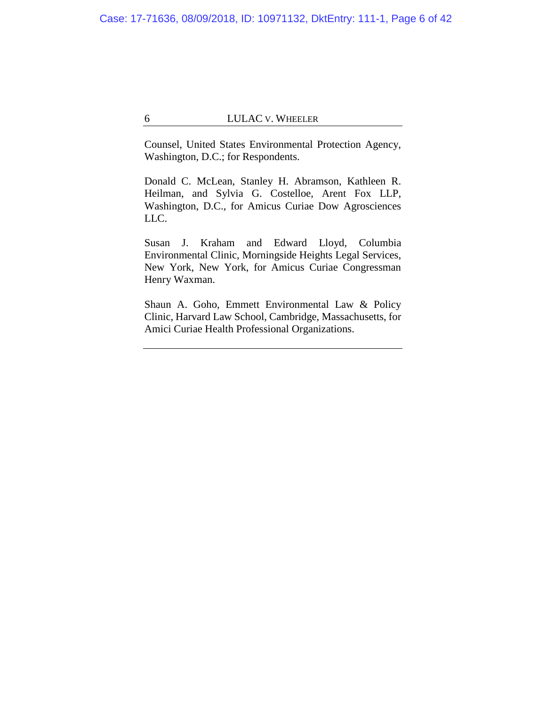Counsel, United States Environmental Protection Agency, Washington, D.C.; for Respondents.

Donald C. McLean, Stanley H. Abramson, Kathleen R. Heilman, and Sylvia G. Costelloe, Arent Fox LLP, Washington, D.C., for Amicus Curiae Dow Agrosciences LLC.

Susan J. Kraham and Edward Lloyd, Columbia Environmental Clinic, Morningside Heights Legal Services, New York, New York, for Amicus Curiae Congressman Henry Waxman.

Shaun A. Goho, Emmett Environmental Law & Policy Clinic, Harvard Law School, Cambridge, Massachusetts, for Amici Curiae Health Professional Organizations.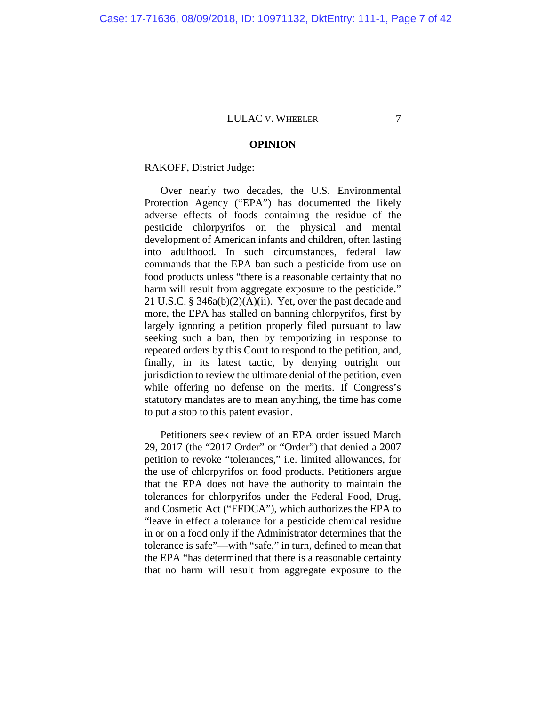#### **OPINION**

# RAKOFF, District Judge:

Over nearly two decades, the U.S. Environmental Protection Agency ("EPA") has documented the likely adverse effects of foods containing the residue of the pesticide chlorpyrifos on the physical and mental development of American infants and children, often lasting into adulthood. In such circumstances, federal law commands that the EPA ban such a pesticide from use on food products unless "there is a reasonable certainty that no harm will result from aggregate exposure to the pesticide." 21 U.S.C. § 346a(b)(2)(A)(ii). Yet, over the past decade and more, the EPA has stalled on banning chlorpyrifos, first by largely ignoring a petition properly filed pursuant to law seeking such a ban, then by temporizing in response to repeated orders by this Court to respond to the petition, and, finally, in its latest tactic, by denying outright our jurisdiction to review the ultimate denial of the petition, even while offering no defense on the merits. If Congress's statutory mandates are to mean anything, the time has come to put a stop to this patent evasion.

Petitioners seek review of an EPA order issued March 29, 2017 (the "2017 Order" or "Order") that denied a 2007 petition to revoke "tolerances," i.e. limited allowances, for the use of chlorpyrifos on food products. Petitioners argue that the EPA does not have the authority to maintain the tolerances for chlorpyrifos under the Federal Food, Drug, and Cosmetic Act ("FFDCA"), which authorizes the EPA to "leave in effect a tolerance for a pesticide chemical residue in or on a food only if the Administrator determines that the tolerance is safe"—with "safe," in turn, defined to mean that the EPA "has determined that there is a reasonable certainty that no harm will result from aggregate exposure to the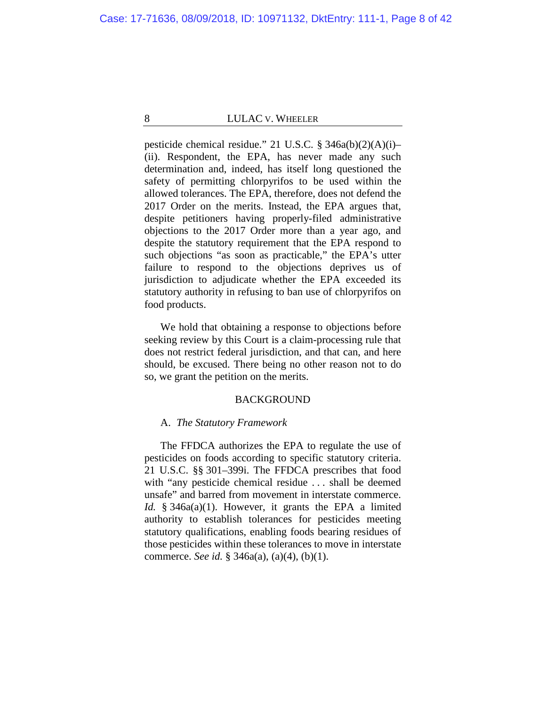pesticide chemical residue." 21 U.S.C. § 346a(b)(2)(A)(i)– (ii). Respondent, the EPA, has never made any such determination and, indeed, has itself long questioned the safety of permitting chlorpyrifos to be used within the allowed tolerances. The EPA, therefore, does not defend the 2017 Order on the merits. Instead, the EPA argues that, despite petitioners having properly-filed administrative objections to the 2017 Order more than a year ago, and despite the statutory requirement that the EPA respond to such objections "as soon as practicable," the EPA's utter failure to respond to the objections deprives us of jurisdiction to adjudicate whether the EPA exceeded its statutory authority in refusing to ban use of chlorpyrifos on food products.

We hold that obtaining a response to objections before seeking review by this Court is a claim-processing rule that does not restrict federal jurisdiction, and that can, and here should, be excused. There being no other reason not to do so, we grant the petition on the merits.

#### BACKGROUND

## A. *The Statutory Framework*

The FFDCA authorizes the EPA to regulate the use of pesticides on foods according to specific statutory criteria. 21 U.S.C. §§ 301–399i. The FFDCA prescribes that food with "any pesticide chemical residue . . . shall be deemed unsafe" and barred from movement in interstate commerce. *Id.* § 346a(a)(1). However, it grants the EPA a limited authority to establish tolerances for pesticides meeting statutory qualifications, enabling foods bearing residues of those pesticides within these tolerances to move in interstate commerce. *See id.* § 346a(a), (a)(4), (b)(1).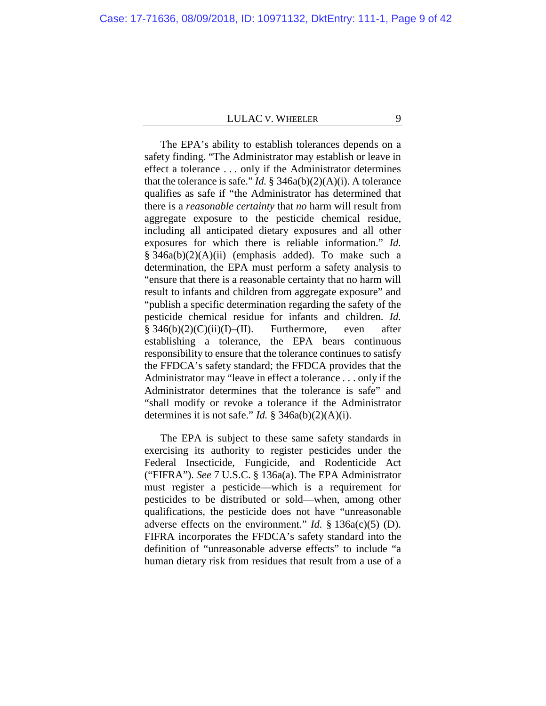The EPA's ability to establish tolerances depends on a safety finding. "The Administrator may establish or leave in effect a tolerance . . . only if the Administrator determines that the tolerance is safe." *Id.* §  $346a(b)(2)(A)(i)$ . A tolerance qualifies as safe if "the Administrator has determined that there is a *reasonable certainty* that *no* harm will result from aggregate exposure to the pesticide chemical residue, including all anticipated dietary exposures and all other exposures for which there is reliable information." *Id.* § 346a(b)(2)(A)(ii) (emphasis added). To make such a determination, the EPA must perform a safety analysis to "ensure that there is a reasonable certainty that no harm will result to infants and children from aggregate exposure" and "publish a specific determination regarding the safety of the pesticide chemical residue for infants and children. *Id.*  $§ 346(b)(2)(C)(ii)(I)–(II).$  Furthermore, even after establishing a tolerance, the EPA bears continuous responsibility to ensure that the tolerance continues to satisfy the FFDCA's safety standard; the FFDCA provides that the Administrator may "leave in effect a tolerance . . . only if the Administrator determines that the tolerance is safe" and "shall modify or revoke a tolerance if the Administrator determines it is not safe." *Id.*  $\S$  346a(b)(2)(A)(i).

The EPA is subject to these same safety standards in exercising its authority to register pesticides under the Federal Insecticide, Fungicide, and Rodenticide Act ("FIFRA"). *See* 7 U.S.C. § 136a(a). The EPA Administrator must register a pesticide—which is a requirement for pesticides to be distributed or sold—when, among other qualifications, the pesticide does not have "unreasonable adverse effects on the environment." *Id.* § 136a(c)(5) (D). FIFRA incorporates the FFDCA's safety standard into the definition of "unreasonable adverse effects" to include "a human dietary risk from residues that result from a use of a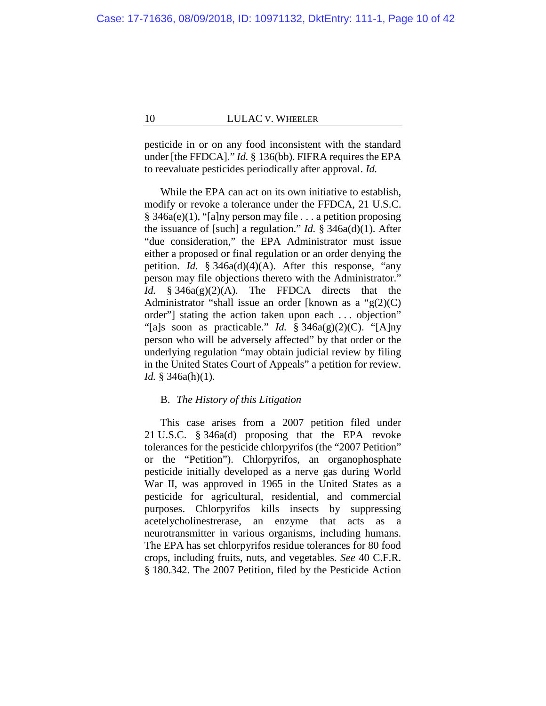pesticide in or on any food inconsistent with the standard under [the FFDCA]." *Id.* § 136(bb). FIFRA requires the EPA to reevaluate pesticides periodically after approval. *Id.*

While the EPA can act on its own initiative to establish, modify or revoke a tolerance under the FFDCA, 21 U.S.C. § 346a(e)(1), "[a]ny person may file . . . a petition proposing the issuance of [such] a regulation." *Id.* § 346a(d)(1). After "due consideration," the EPA Administrator must issue either a proposed or final regulation or an order denying the petition. *Id.* § 346a(d)(4)(A). After this response, "any person may file objections thereto with the Administrator." *Id.* § 346a(g)(2)(A). The FFDCA directs that the Administrator "shall issue an order [known as a " $g(2)(C)$ ] order"] stating the action taken upon each . . . objection" "[a]s soon as practicable." *Id.* § 346a(g)(2)(C). "[A]ny person who will be adversely affected" by that order or the underlying regulation "may obtain judicial review by filing in the United States Court of Appeals" a petition for review. *Id.* § 346a(h)(1).

## B. *The History of this Litigation*

This case arises from a 2007 petition filed under 21 U.S.C. § 346a(d) proposing that the EPA revoke tolerances for the pesticide chlorpyrifos (the "2007 Petition" or the "Petition"). Chlorpyrifos, an organophosphate pesticide initially developed as a nerve gas during World War II, was approved in 1965 in the United States as a pesticide for agricultural, residential, and commercial purposes. Chlorpyrifos kills insects by suppressing acetelycholinestrerase, an enzyme that acts as a neurotransmitter in various organisms, including humans. The EPA has set chlorpyrifos residue tolerances for 80 food crops, including fruits, nuts, and vegetables. *See* 40 C.F.R. § 180.342. The 2007 Petition, filed by the Pesticide Action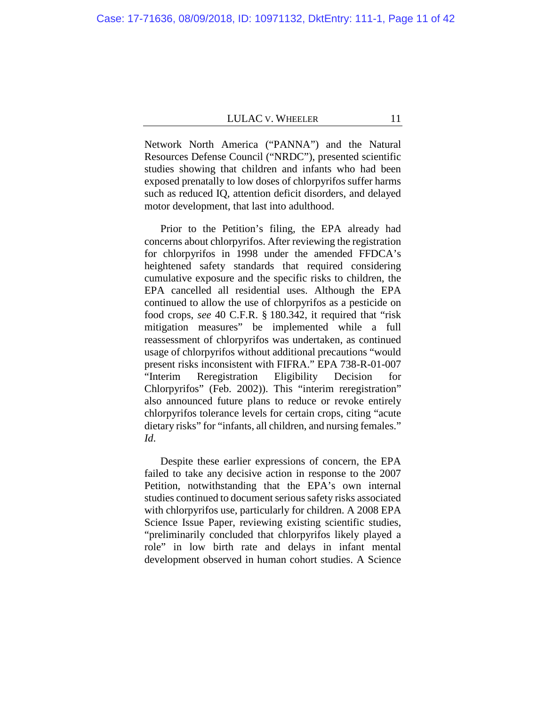Network North America ("PANNA") and the Natural Resources Defense Council ("NRDC"), presented scientific studies showing that children and infants who had been exposed prenatally to low doses of chlorpyrifos suffer harms such as reduced IQ, attention deficit disorders, and delayed motor development, that last into adulthood.

Prior to the Petition's filing, the EPA already had concerns about chlorpyrifos. After reviewing the registration for chlorpyrifos in 1998 under the amended FFDCA's heightened safety standards that required considering cumulative exposure and the specific risks to children, the EPA cancelled all residential uses. Although the EPA continued to allow the use of chlorpyrifos as a pesticide on food crops, *see* 40 C.F.R. § 180.342, it required that "risk mitigation measures" be implemented while a full reassessment of chlorpyrifos was undertaken, as continued usage of chlorpyrifos without additional precautions "would present risks inconsistent with FIFRA." EPA 738-R-01-007 "Interim Reregistration Eligibility Decision for Chlorpyrifos" (Feb. 2002)). This "interim reregistration" also announced future plans to reduce or revoke entirely chlorpyrifos tolerance levels for certain crops, citing "acute dietary risks" for "infants, all children, and nursing females." *Id*.

Despite these earlier expressions of concern, the EPA failed to take any decisive action in response to the 2007 Petition, notwithstanding that the EPA's own internal studies continued to document serious safety risks associated with chlorpyrifos use, particularly for children. A 2008 EPA Science Issue Paper, reviewing existing scientific studies, "preliminarily concluded that chlorpyrifos likely played a role" in low birth rate and delays in infant mental development observed in human cohort studies. A Science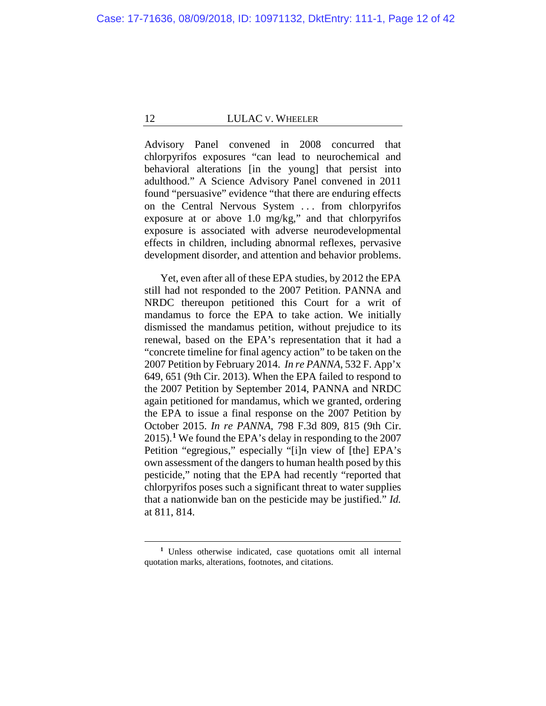Advisory Panel convened in 2008 concurred that chlorpyrifos exposures "can lead to neurochemical and behavioral alterations [in the young] that persist into adulthood." A Science Advisory Panel convened in 2011 found "persuasive" evidence "that there are enduring effects on the Central Nervous System . . . from chlorpyrifos exposure at or above 1.0 mg/kg," and that chlorpyrifos exposure is associated with adverse neurodevelopmental effects in children, including abnormal reflexes, pervasive development disorder, and attention and behavior problems.

Yet, even after all of these EPA studies, by 2012 the EPA still had not responded to the 2007 Petition. PANNA and NRDC thereupon petitioned this Court for a writ of mandamus to force the EPA to take action. We initially dismissed the mandamus petition, without prejudice to its renewal, based on the EPA's representation that it had a "concrete timeline for final agency action" to be taken on the 2007 Petition by February 2014. *In re PANNA*, 532 F. App'x 649, 651 (9th Cir. 2013). When the EPA failed to respond to the 2007 Petition by September 2014, PANNA and NRDC again petitioned for mandamus, which we granted, ordering the EPA to issue a final response on the 2007 Petition by October 2015. *In re PANNA*, 798 F.3d 809, 815 (9th Cir. 2015).**[1](#page-11-0)** We found the EPA's delay in responding to the 2007 Petition "egregious," especially "[i]n view of [the] EPA's own assessment of the dangers to human health posed by this pesticide," noting that the EPA had recently "reported that chlorpyrifos poses such a significant threat to water supplies that a nationwide ban on the pesticide may be justified." *Id.* at 811, 814.

<span id="page-11-0"></span>**<sup>1</sup>** Unless otherwise indicated, case quotations omit all internal quotation marks, alterations, footnotes, and citations.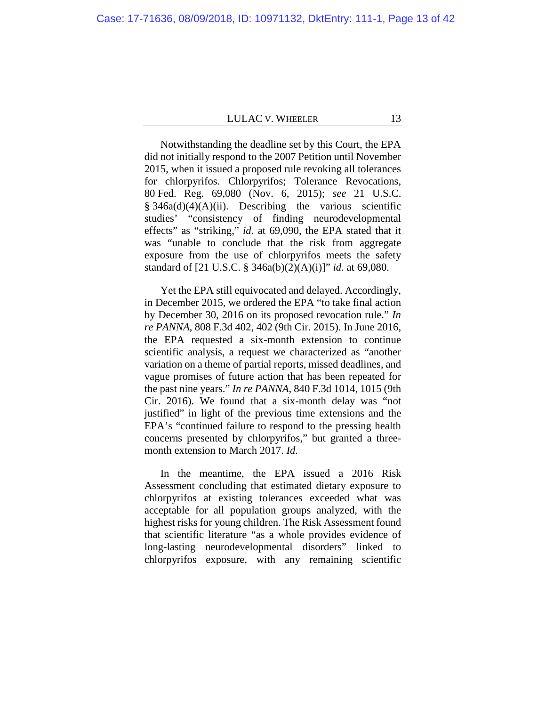Notwithstanding the deadline set by this Court, the EPA did not initially respond to the 2007 Petition until November 2015, when it issued a proposed rule revoking all tolerances for chlorpyrifos. Chlorpyrifos; Tolerance Revocations, 80 Fed. Reg. 69,080 (Nov. 6, 2015); *see* 21 U.S.C.  $§ 346a(d)(4)(A)(ii)$ . Describing the various scientific studies' "consistency of finding neurodevelopmental effects" as "striking," *id.* at 69,090, the EPA stated that it was "unable to conclude that the risk from aggregate exposure from the use of chlorpyrifos meets the safety standard of [21 U.S.C. § 346a(b)(2)(A)(i)]" *id.* at 69,080.

Yet the EPA still equivocated and delayed. Accordingly, in December 2015, we ordered the EPA "to take final action by December 30, 2016 on its proposed revocation rule." *In re PANNA*, 808 F.3d 402, 402 (9th Cir. 2015). In June 2016, the EPA requested a six-month extension to continue scientific analysis, a request we characterized as "another variation on a theme of partial reports, missed deadlines, and vague promises of future action that has been repeated for the past nine years." *In re PANNA*, 840 F.3d 1014, 1015 (9th Cir. 2016). We found that a six-month delay was "not justified" in light of the previous time extensions and the EPA's "continued failure to respond to the pressing health concerns presented by chlorpyrifos," but granted a threemonth extension to March 2017. *Id.*

In the meantime, the EPA issued a 2016 Risk Assessment concluding that estimated dietary exposure to chlorpyrifos at existing tolerances exceeded what was acceptable for all population groups analyzed, with the highest risks for young children. The Risk Assessment found that scientific literature "as a whole provides evidence of long-lasting neurodevelopmental disorders" linked to chlorpyrifos exposure, with any remaining scientific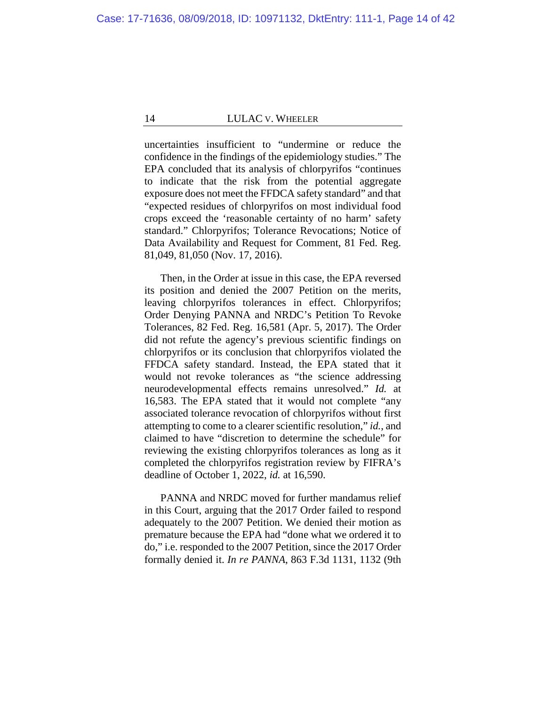uncertainties insufficient to "undermine or reduce the confidence in the findings of the epidemiology studies." The EPA concluded that its analysis of chlorpyrifos "continues to indicate that the risk from the potential aggregate exposure does not meet the FFDCA safety standard" and that "expected residues of chlorpyrifos on most individual food crops exceed the 'reasonable certainty of no harm' safety standard." Chlorpyrifos; Tolerance Revocations; Notice of Data Availability and Request for Comment, 81 Fed. Reg. 81,049, 81,050 (Nov. 17, 2016).

Then, in the Order at issue in this case, the EPA reversed its position and denied the 2007 Petition on the merits, leaving chlorpyrifos tolerances in effect. Chlorpyrifos; Order Denying PANNA and NRDC's Petition To Revoke Tolerances, 82 Fed. Reg. 16,581 (Apr. 5, 2017). The Order did not refute the agency's previous scientific findings on chlorpyrifos or its conclusion that chlorpyrifos violated the FFDCA safety standard. Instead, the EPA stated that it would not revoke tolerances as "the science addressing neurodevelopmental effects remains unresolved." *Id.* at 16,583. The EPA stated that it would not complete "any associated tolerance revocation of chlorpyrifos without first attempting to come to a clearer scientific resolution," *id.*, and claimed to have "discretion to determine the schedule" for reviewing the existing chlorpyrifos tolerances as long as it completed the chlorpyrifos registration review by FIFRA's deadline of October 1, 2022, *id.* at 16,590.

PANNA and NRDC moved for further mandamus relief in this Court, arguing that the 2017 Order failed to respond adequately to the 2007 Petition. We denied their motion as premature because the EPA had "done what we ordered it to do," i.e. responded to the 2007 Petition, since the 2017 Order formally denied it. *In re PANNA*, 863 F.3d 1131, 1132 (9th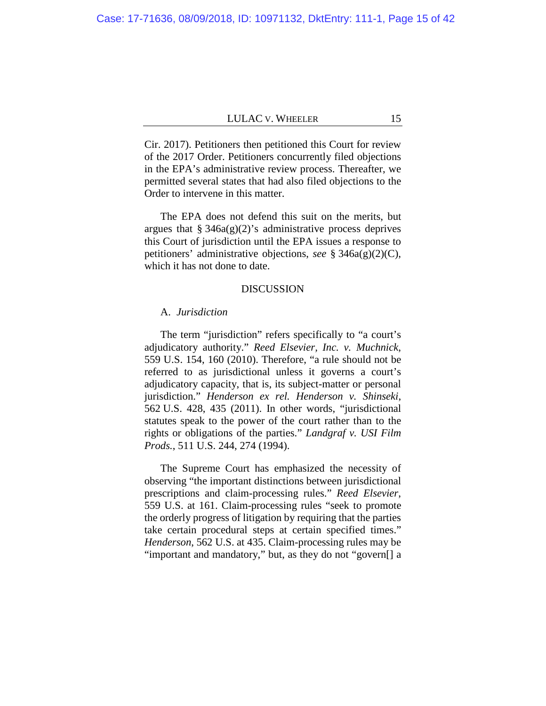Cir. 2017). Petitioners then petitioned this Court for review of the 2017 Order. Petitioners concurrently filed objections in the EPA's administrative review process. Thereafter, we permitted several states that had also filed objections to the Order to intervene in this matter.

The EPA does not defend this suit on the merits, but argues that  $\S 346a(g)(2)$ 's administrative process deprives this Court of jurisdiction until the EPA issues a response to petitioners' administrative objections, *see* § 346a(g)(2)(C), which it has not done to date.

## DISCUSSION

#### A. *Jurisdiction*

The term "jurisdiction" refers specifically to "a court's adjudicatory authority." *Reed Elsevier, Inc. v. Muchnick*, 559 U.S. 154, 160 (2010). Therefore, "a rule should not be referred to as jurisdictional unless it governs a court's adjudicatory capacity, that is, its subject-matter or personal jurisdiction." *Henderson ex rel. Henderson v. Shinseki*, 562 U.S. 428, 435 (2011). In other words, "jurisdictional statutes speak to the power of the court rather than to the rights or obligations of the parties." *Landgraf v. USI Film Prods.*, 511 U.S. 244, 274 (1994).

The Supreme Court has emphasized the necessity of observing "the important distinctions between jurisdictional prescriptions and claim-processing rules." *Reed Elsevier*, 559 U.S. at 161. Claim-processing rules "seek to promote the orderly progress of litigation by requiring that the parties take certain procedural steps at certain specified times." *Henderson*, 562 U.S. at 435. Claim-processing rules may be "important and mandatory," but, as they do not "govern[] a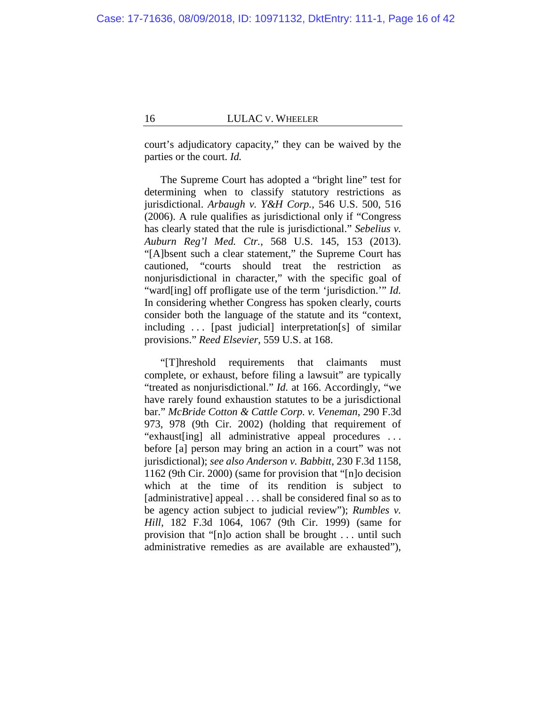court's adjudicatory capacity," they can be waived by the parties or the court. *Id.*

The Supreme Court has adopted a "bright line" test for determining when to classify statutory restrictions as jurisdictional. *Arbaugh v. Y&H Corp.*, 546 U.S. 500, 516 (2006). A rule qualifies as jurisdictional only if "Congress has clearly stated that the rule is jurisdictional." *Sebelius v. Auburn Reg'l Med. Ctr.*, 568 U.S. 145, 153 (2013). "[A]bsent such a clear statement," the Supreme Court has cautioned, "courts should treat the restriction nonjurisdictional in character," with the specific goal of "ward[ing] off profligate use of the term 'jurisdiction.'" *Id.* In considering whether Congress has spoken clearly, courts consider both the language of the statute and its "context, including . . . [past judicial] interpretation[s] of similar provisions." *Reed Elsevier*, 559 U.S. at 168.

"[T]hreshold requirements that claimants must complete, or exhaust, before filing a lawsuit" are typically "treated as nonjurisdictional." *Id.* at 166. Accordingly, "we have rarely found exhaustion statutes to be a jurisdictional bar." *McBride Cotton & Cattle Corp. v. Veneman*, 290 F.3d 973, 978 (9th Cir. 2002) (holding that requirement of "exhaust[ing] all administrative appeal procedures . . . before [a] person may bring an action in a court" was not jurisdictional); *see also Anderson v. Babbitt*, 230 F.3d 1158, 1162 (9th Cir. 2000) (same for provision that "[n]o decision which at the time of its rendition is subject to [administrative] appeal . . . shall be considered final so as to be agency action subject to judicial review"); *Rumbles v. Hill*, 182 F.3d 1064, 1067 (9th Cir. 1999) (same for provision that "[n]o action shall be brought . . . until such administrative remedies as are available are exhausted"),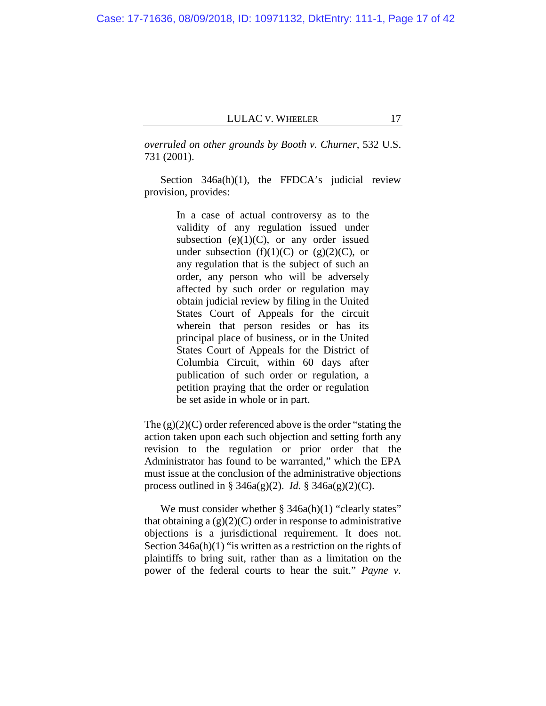Case: 17-71636, 08/09/2018, ID: 10971132, DktEntry: 111-1, Page 17 of 42

# LULAC V. WHEELER 17

*overruled on other grounds by Booth v. Churner*, 532 U.S. 731 (2001).

Section 346a(h)(1), the FFDCA's judicial review provision, provides:

> In a case of actual controversy as to the validity of any regulation issued under subsection (e) $(1)(C)$ , or any order issued under subsection  $(f)(1)(C)$  or  $(g)(2)(C)$ , or any regulation that is the subject of such an order, any person who will be adversely affected by such order or regulation may obtain judicial review by filing in the United States Court of Appeals for the circuit wherein that person resides or has its principal place of business, or in the United States Court of Appeals for the District of Columbia Circuit, within 60 days after publication of such order or regulation, a petition praying that the order or regulation be set aside in whole or in part.

The  $(g)(2)(C)$  order referenced above is the order "stating the action taken upon each such objection and setting forth any revision to the regulation or prior order that the Administrator has found to be warranted," which the EPA must issue at the conclusion of the administrative objections process outlined in § 346a(g)(2). *Id.* § 346a(g)(2)(C).

We must consider whether  $\S$  346a(h)(1) "clearly states" that obtaining a  $(g)(2)(C)$  order in response to administrative objections is a jurisdictional requirement. It does not. Section 346a(h)(1) "is written as a restriction on the rights of plaintiffs to bring suit, rather than as a limitation on the power of the federal courts to hear the suit." *Payne v.*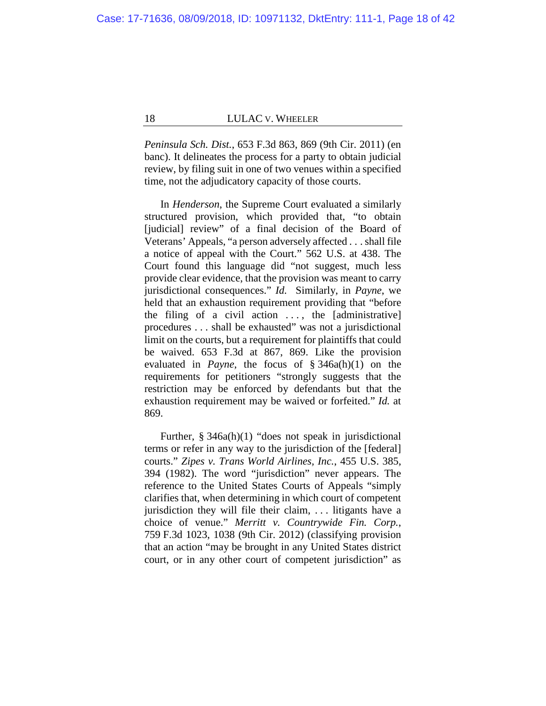*Peninsula Sch. Dist.*, 653 F.3d 863, 869 (9th Cir. 2011) (en banc). It delineates the process for a party to obtain judicial review, by filing suit in one of two venues within a specified time, not the adjudicatory capacity of those courts.

In *Henderson*, the Supreme Court evaluated a similarly structured provision, which provided that, "to obtain [judicial] review" of a final decision of the Board of Veterans' Appeals, "a person adversely affected . . .shall file a notice of appeal with the Court." 562 U.S. at 438. The Court found this language did "not suggest, much less provide clear evidence, that the provision was meant to carry jurisdictional consequences." *Id.* Similarly, in *Payne*, we held that an exhaustion requirement providing that "before the filing of a civil action  $\dots$ , the [administrative] procedures . . . shall be exhausted" was not a jurisdictional limit on the courts, but a requirement for plaintiffs that could be waived. 653 F.3d at 867, 869. Like the provision evaluated in *Payne*, the focus of § 346a(h)(1) on the requirements for petitioners "strongly suggests that the restriction may be enforced by defendants but that the exhaustion requirement may be waived or forfeited." *Id.* at 869.

Further, § 346a(h)(1) "does not speak in jurisdictional terms or refer in any way to the jurisdiction of the [federal] courts." *Zipes v. Trans World Airlines, Inc.*, 455 U.S. 385, 394 (1982). The word "jurisdiction" never appears. The reference to the United States Courts of Appeals "simply clarifies that, when determining in which court of competent jurisdiction they will file their claim, . . . litigants have a choice of venue." *Merritt v. Countrywide Fin. Corp.*, 759 F.3d 1023, 1038 (9th Cir. 2012) (classifying provision that an action "may be brought in any United States district court, or in any other court of competent jurisdiction" as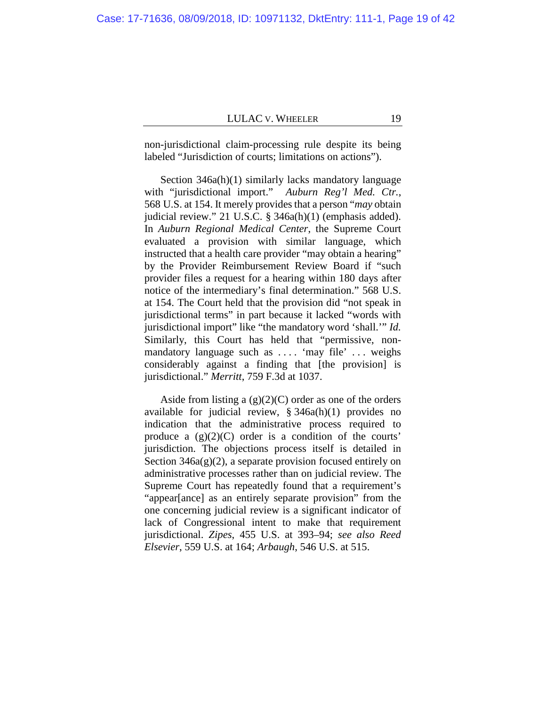non-jurisdictional claim-processing rule despite its being labeled "Jurisdiction of courts; limitations on actions").

Section 346a(h)(1) similarly lacks mandatory language with "jurisdictional import." *Auburn Reg'l Med. Ctr.*, 568 U.S. at 154. It merely provides that a person "*may* obtain judicial review." 21 U.S.C. § 346a(h)(1) (emphasis added). In *Auburn Regional Medical Center*, the Supreme Court evaluated a provision with similar language, which instructed that a health care provider "may obtain a hearing" by the Provider Reimbursement Review Board if "such provider files a request for a hearing within 180 days after notice of the intermediary's final determination." 568 U.S. at 154. The Court held that the provision did "not speak in jurisdictional terms" in part because it lacked "words with jurisdictional import" like "the mandatory word 'shall.'" *Id.* Similarly, this Court has held that "permissive, nonmandatory language such as .... 'may file' ... weighs considerably against a finding that [the provision] is jurisdictional." *Merritt*, 759 F.3d at 1037.

Aside from listing a  $(g)(2)(C)$  order as one of the orders available for judicial review, § 346a(h)(1) provides no indication that the administrative process required to produce a  $(g)(2)(C)$  order is a condition of the courts' jurisdiction. The objections process itself is detailed in Section  $346a(g)(2)$ , a separate provision focused entirely on administrative processes rather than on judicial review. The Supreme Court has repeatedly found that a requirement's "appear[ance] as an entirely separate provision" from the one concerning judicial review is a significant indicator of lack of Congressional intent to make that requirement jurisdictional. *Zipes*, 455 U.S. at 393–94; *see also Reed Elsevier*, 559 U.S. at 164; *Arbaugh*, 546 U.S. at 515.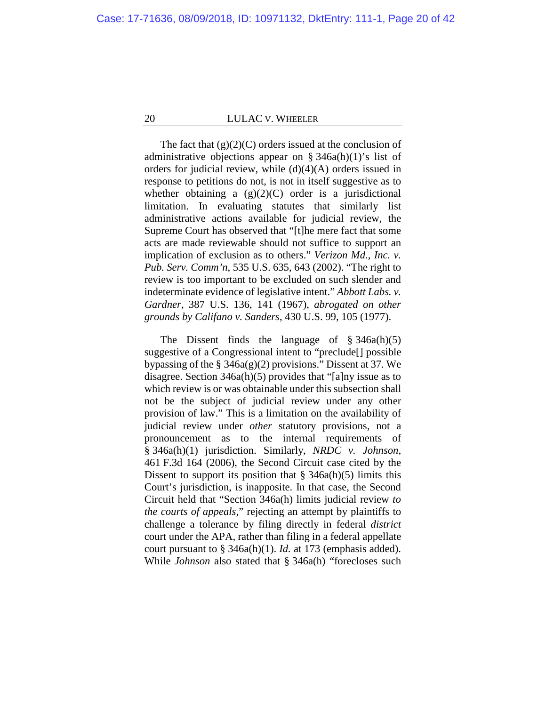The fact that  $(g)(2)(C)$  orders issued at the conclusion of administrative objections appear on  $\S$  346a(h)(1)'s list of orders for judicial review, while (d)(4)(A) orders issued in response to petitions do not, is not in itself suggestive as to whether obtaining a  $(g)(2)(C)$  order is a jurisdictional limitation. In evaluating statutes that similarly list administrative actions available for judicial review, the Supreme Court has observed that "[t]he mere fact that some acts are made reviewable should not suffice to support an implication of exclusion as to others." *Verizon Md., Inc. v. Pub. Serv. Comm'n*, 535 U.S. 635, 643 (2002). "The right to review is too important to be excluded on such slender and indeterminate evidence of legislative intent." *Abbott Labs. v. Gardner*, 387 U.S. 136, 141 (1967), *abrogated on other grounds by Califano v. Sanders*, 430 U.S. 99, 105 (1977).

The Dissent finds the language of § 346a(h)(5) suggestive of a Congressional intent to "preclude[] possible bypassing of the  $\S$  346a(g)(2) provisions." Dissent at [37.](#page-36-0) We disagree. Section 346a(h)(5) provides that "[a]ny issue as to which review is or was obtainable under this subsection shall not be the subject of judicial review under any other provision of law." This is a limitation on the availability of judicial review under *other* statutory provisions, not a pronouncement as to the internal requirements of § 346a(h)(1) jurisdiction. Similarly, *NRDC v. Johnson*, 461 F.3d 164 (2006), the Second Circuit case cited by the Dissent to support its position that  $\S$  346a(h)(5) limits this Court's jurisdiction, is inapposite. In that case, the Second Circuit held that "Section 346a(h) limits judicial review *to the courts of appeals*," rejecting an attempt by plaintiffs to challenge a tolerance by filing directly in federal *district*  court under the APA, rather than filing in a federal appellate court pursuant to § 346a(h)(1). *Id.* at 173 (emphasis added). While *Johnson* also stated that § 346a(h) "forecloses such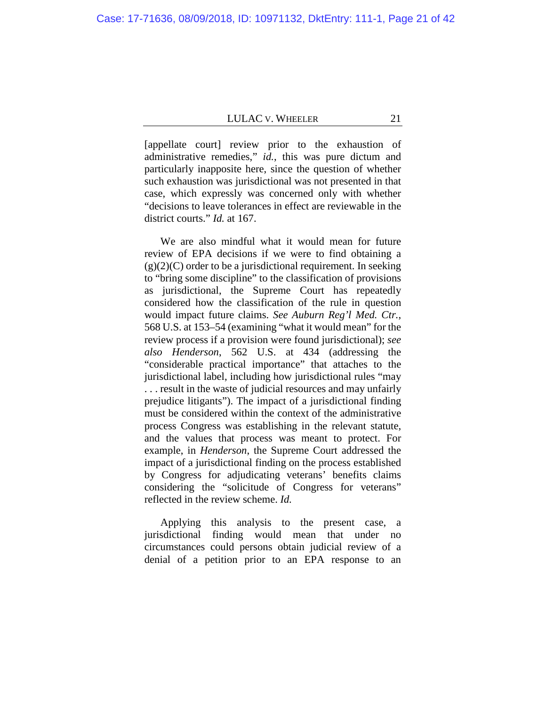[appellate court] review prior to the exhaustion of administrative remedies," *id.*, this was pure dictum and particularly inapposite here, since the question of whether such exhaustion was jurisdictional was not presented in that case, which expressly was concerned only with whether "decisions to leave tolerances in effect are reviewable in the district courts." *Id.* at 167.

We are also mindful what it would mean for future review of EPA decisions if we were to find obtaining a  $(g)(2)(C)$  order to be a jurisdictional requirement. In seeking to "bring some discipline" to the classification of provisions as jurisdictional, the Supreme Court has repeatedly considered how the classification of the rule in question would impact future claims. *See Auburn Reg'l Med. Ctr.*, 568 U.S. at 153–54 (examining "what it would mean" for the review process if a provision were found jurisdictional); *see also Henderson*, 562 U.S. at 434 (addressing the "considerable practical importance" that attaches to the jurisdictional label, including how jurisdictional rules "may . . . result in the waste of judicial resources and may unfairly prejudice litigants"). The impact of a jurisdictional finding must be considered within the context of the administrative process Congress was establishing in the relevant statute, and the values that process was meant to protect. For example, in *Henderson*, the Supreme Court addressed the impact of a jurisdictional finding on the process established by Congress for adjudicating veterans' benefits claims considering the "solicitude of Congress for veterans" reflected in the review scheme. *Id.*

Applying this analysis to the present case, a jurisdictional finding would mean that under no circumstances could persons obtain judicial review of a denial of a petition prior to an EPA response to an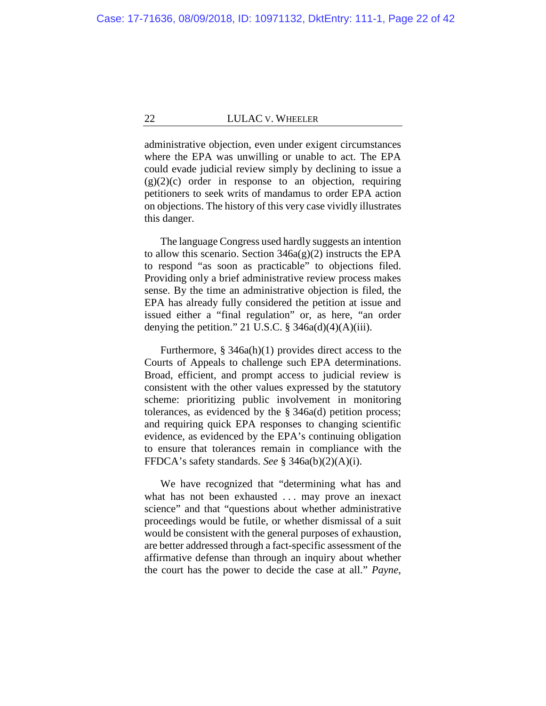administrative objection, even under exigent circumstances where the EPA was unwilling or unable to act. The EPA could evade judicial review simply by declining to issue a  $(g)(2)(c)$  order in response to an objection, requiring petitioners to seek writs of mandamus to order EPA action on objections. The history of this very case vividly illustrates this danger.

The language Congress used hardly suggests an intention to allow this scenario. Section  $346a(g)(2)$  instructs the EPA to respond "as soon as practicable" to objections filed. Providing only a brief administrative review process makes sense. By the time an administrative objection is filed, the EPA has already fully considered the petition at issue and issued either a "final regulation" or, as here, "an order denying the petition." 21 U.S.C.  $\S$  346a(d)(4)(A)(iii).

Furthermore, § 346a(h)(1) provides direct access to the Courts of Appeals to challenge such EPA determinations. Broad, efficient, and prompt access to judicial review is consistent with the other values expressed by the statutory scheme: prioritizing public involvement in monitoring tolerances, as evidenced by the § 346a(d) petition process; and requiring quick EPA responses to changing scientific evidence, as evidenced by the EPA's continuing obligation to ensure that tolerances remain in compliance with the FFDCA's safety standards. *See* § 346a(b)(2)(A)(i).

We have recognized that "determining what has and what has not been exhausted ... may prove an inexact science" and that "questions about whether administrative proceedings would be futile, or whether dismissal of a suit would be consistent with the general purposes of exhaustion, are better addressed through a fact-specific assessment of the affirmative defense than through an inquiry about whether the court has the power to decide the case at all." *Payne*,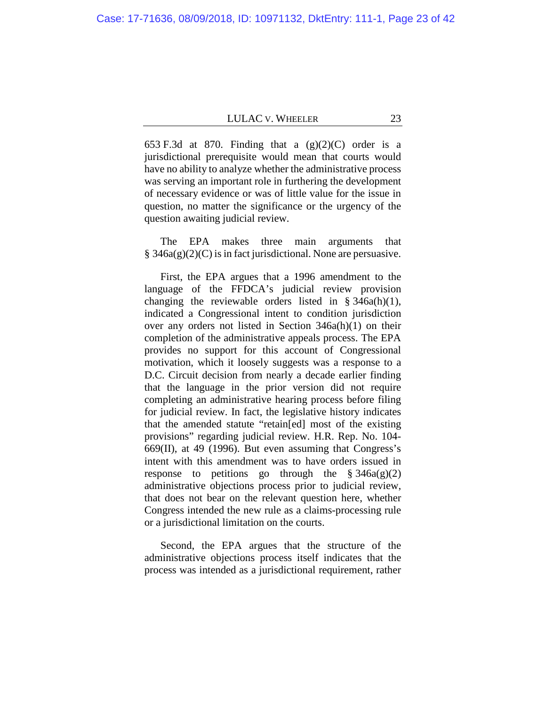653 F.3d at 870. Finding that a  $(g)(2)(C)$  order is a jurisdictional prerequisite would mean that courts would have no ability to analyze whether the administrative process was serving an important role in furthering the development of necessary evidence or was of little value for the issue in question, no matter the significance or the urgency of the question awaiting judicial review.

The EPA makes three main arguments that  $§$  346a(g)(2)(C) is in fact jurisdictional. None are persuasive.

First, the EPA argues that a 1996 amendment to the language of the FFDCA's judicial review provision changing the reviewable orders listed in  $§ 346a(h)(1)$ , indicated a Congressional intent to condition jurisdiction over any orders not listed in Section 346a(h)(1) on their completion of the administrative appeals process. The EPA provides no support for this account of Congressional motivation, which it loosely suggests was a response to a D.C. Circuit decision from nearly a decade earlier finding that the language in the prior version did not require completing an administrative hearing process before filing for judicial review. In fact, the legislative history indicates that the amended statute "retain[ed] most of the existing provisions" regarding judicial review. H.R. Rep. No. 104- 669(II), at 49 (1996). But even assuming that Congress's intent with this amendment was to have orders issued in response to petitions go through the  $\S 346a(g)(2)$ administrative objections process prior to judicial review, that does not bear on the relevant question here, whether Congress intended the new rule as a claims-processing rule or a jurisdictional limitation on the courts.

Second, the EPA argues that the structure of the administrative objections process itself indicates that the process was intended as a jurisdictional requirement, rather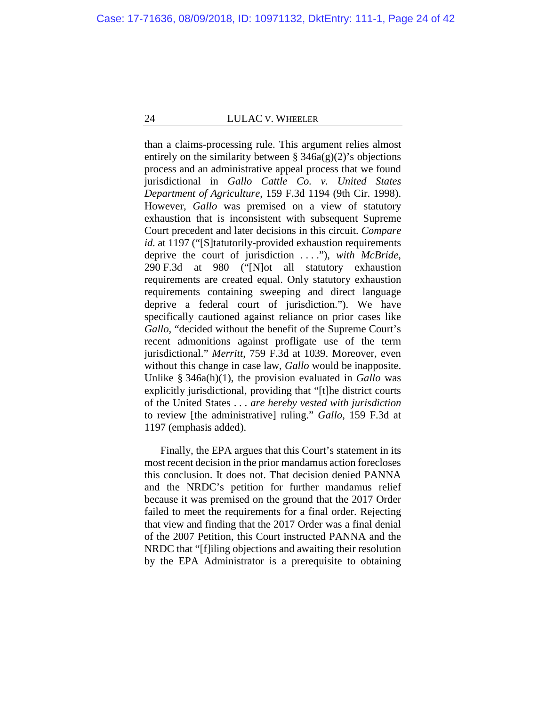than a claims-processing rule. This argument relies almost entirely on the similarity between  $\S$  346a(g)(2)'s objections process and an administrative appeal process that we found jurisdictional in *Gallo Cattle Co. v. United States Department of Agriculture*, 159 F.3d 1194 (9th Cir. 1998). However, *Gallo* was premised on a view of statutory exhaustion that is inconsistent with subsequent Supreme Court precedent and later decisions in this circuit. *Compare id.* at 1197 ("[S]tatutorily-provided exhaustion requirements deprive the court of jurisdiction . . . ."), *with McBride*, 290 F.3d at 980 ("[N]ot all statutory exhaustion requirements are created equal. Only statutory exhaustion requirements containing sweeping and direct language deprive a federal court of jurisdiction."). We have specifically cautioned against reliance on prior cases like *Gallo*, "decided without the benefit of the Supreme Court's recent admonitions against profligate use of the term jurisdictional." *Merritt*, 759 F.3d at 1039. Moreover, even without this change in case law, *Gallo* would be inapposite. Unlike § 346a(h)(1), the provision evaluated in *Gallo* was explicitly jurisdictional, providing that "[t]he district courts of the United States . . . *are hereby vested with jurisdiction* to review [the administrative] ruling." *Gallo*, 159 F.3d at 1197 (emphasis added).

Finally, the EPA argues that this Court's statement in its most recent decision in the prior mandamus action forecloses this conclusion. It does not. That decision denied PANNA and the NRDC's petition for further mandamus relief because it was premised on the ground that the 2017 Order failed to meet the requirements for a final order. Rejecting that view and finding that the 2017 Order was a final denial of the 2007 Petition, this Court instructed PANNA and the NRDC that "[f]iling objections and awaiting their resolution by the EPA Administrator is a prerequisite to obtaining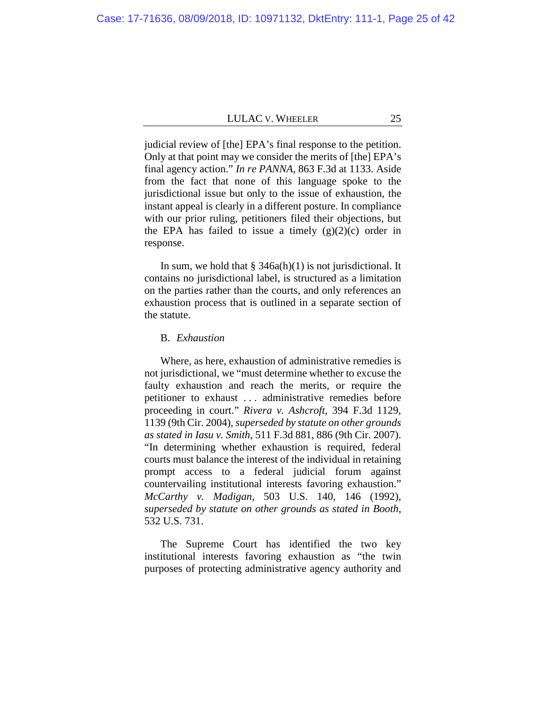judicial review of [the] EPA's final response to the petition. Only at that point may we consider the merits of [the] EPA's final agency action." *In re PANNA*, 863 F.3d at 1133. Aside from the fact that none of this language spoke to the jurisdictional issue but only to the issue of exhaustion, the instant appeal is clearly in a different posture. In compliance with our prior ruling, petitioners filed their objections, but the EPA has failed to issue a timely  $(g)(2)(c)$  order in response.

In sum, we hold that  $\S$  346a(h)(1) is not jurisdictional. It contains no jurisdictional label, is structured as a limitation on the parties rather than the courts, and only references an exhaustion process that is outlined in a separate section of the statute.

# B. *Exhaustion*

Where, as here, exhaustion of administrative remedies is not jurisdictional, we "must determine whether to excuse the faulty exhaustion and reach the merits, or require the petitioner to exhaust . . . administrative remedies before proceeding in court." *Rivera v. Ashcroft*, 394 F.3d 1129, 1139 (9th Cir. 2004), *superseded by statute on other grounds as stated in Iasu v. Smith*, 511 F.3d 881, 886 (9th Cir. 2007). "In determining whether exhaustion is required, federal courts must balance the interest of the individual in retaining prompt access to a federal judicial forum against countervailing institutional interests favoring exhaustion." *McCarthy v. Madigan*, 503 U.S. 140, 146 (1992), *superseded by statute on other grounds as stated in Booth*, 532 U.S. 731.

The Supreme Court has identified the two key institutional interests favoring exhaustion as "the twin purposes of protecting administrative agency authority and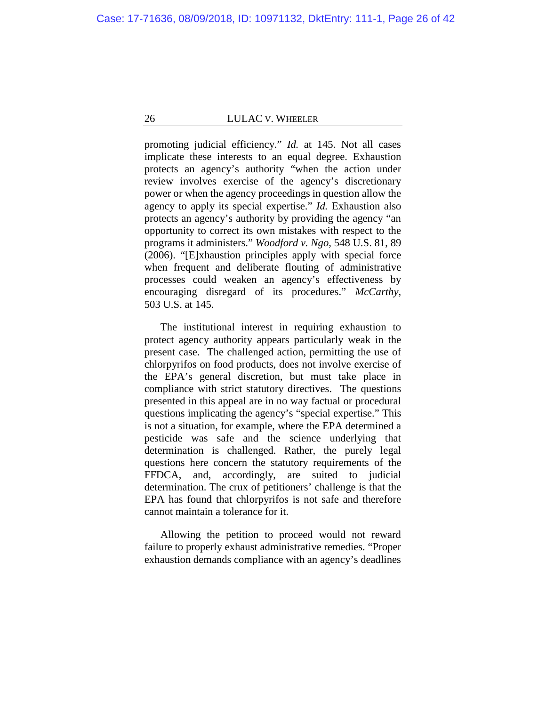promoting judicial efficiency." *Id.* at 145. Not all cases implicate these interests to an equal degree. Exhaustion protects an agency's authority "when the action under review involves exercise of the agency's discretionary power or when the agency proceedings in question allow the agency to apply its special expertise." *Id.* Exhaustion also protects an agency's authority by providing the agency "an opportunity to correct its own mistakes with respect to the programs it administers." *Woodford v. Ngo*, 548 U.S. 81, 89 (2006). "[E]xhaustion principles apply with special force when frequent and deliberate flouting of administrative processes could weaken an agency's effectiveness by encouraging disregard of its procedures." *McCarthy*, 503 U.S. at 145.

The institutional interest in requiring exhaustion to protect agency authority appears particularly weak in the present case. The challenged action, permitting the use of chlorpyrifos on food products, does not involve exercise of the EPA's general discretion, but must take place in compliance with strict statutory directives. The questions presented in this appeal are in no way factual or procedural questions implicating the agency's "special expertise." This is not a situation, for example, where the EPA determined a pesticide was safe and the science underlying that determination is challenged. Rather, the purely legal questions here concern the statutory requirements of the FFDCA, and, accordingly, are suited to judicial determination. The crux of petitioners' challenge is that the EPA has found that chlorpyrifos is not safe and therefore cannot maintain a tolerance for it.

Allowing the petition to proceed would not reward failure to properly exhaust administrative remedies. "Proper exhaustion demands compliance with an agency's deadlines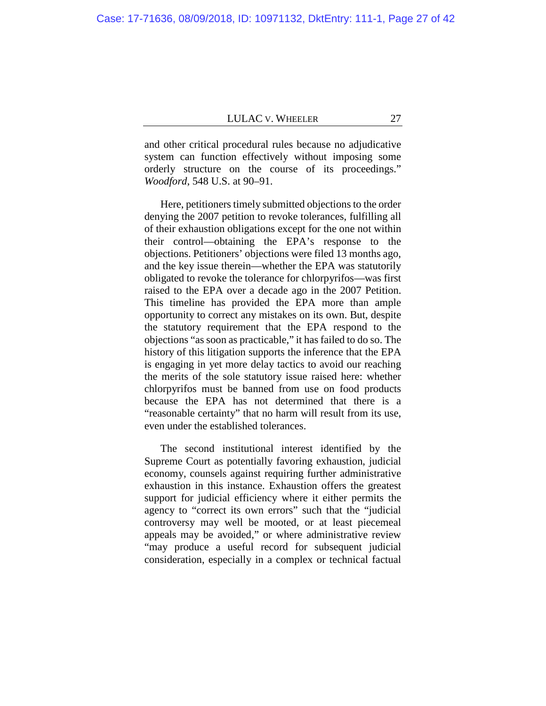and other critical procedural rules because no adjudicative system can function effectively without imposing some orderly structure on the course of its proceedings." *Woodford*, 548 U.S. at 90–91.

Here, petitioners timely submitted objections to the order denying the 2007 petition to revoke tolerances, fulfilling all of their exhaustion obligations except for the one not within their control—obtaining the EPA's response to the objections. Petitioners' objections were filed 13 months ago, and the key issue therein—whether the EPA was statutorily obligated to revoke the tolerance for chlorpyrifos—was first raised to the EPA over a decade ago in the 2007 Petition. This timeline has provided the EPA more than ample opportunity to correct any mistakes on its own. But, despite the statutory requirement that the EPA respond to the objections "as soon as practicable," it has failed to do so. The history of this litigation supports the inference that the EPA is engaging in yet more delay tactics to avoid our reaching the merits of the sole statutory issue raised here: whether chlorpyrifos must be banned from use on food products because the EPA has not determined that there is a "reasonable certainty" that no harm will result from its use, even under the established tolerances.

The second institutional interest identified by the Supreme Court as potentially favoring exhaustion, judicial economy, counsels against requiring further administrative exhaustion in this instance. Exhaustion offers the greatest support for judicial efficiency where it either permits the agency to "correct its own errors" such that the "judicial controversy may well be mooted, or at least piecemeal appeals may be avoided," or where administrative review "may produce a useful record for subsequent judicial consideration, especially in a complex or technical factual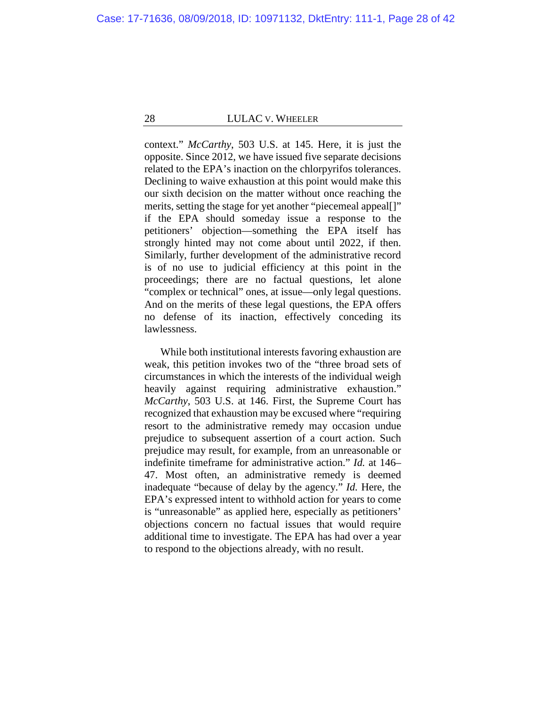context." *McCarthy*, 503 U.S. at 145. Here, it is just the opposite. Since 2012, we have issued five separate decisions related to the EPA's inaction on the chlorpyrifos tolerances. Declining to waive exhaustion at this point would make this our sixth decision on the matter without once reaching the merits, setting the stage for yet another "piecemeal appeal[]" if the EPA should someday issue a response to the petitioners' objection—something the EPA itself has strongly hinted may not come about until 2022, if then. Similarly, further development of the administrative record is of no use to judicial efficiency at this point in the proceedings; there are no factual questions, let alone "complex or technical" ones, at issue—only legal questions. And on the merits of these legal questions, the EPA offers no defense of its inaction, effectively conceding its lawlessness.

While both institutional interests favoring exhaustion are weak, this petition invokes two of the "three broad sets of circumstances in which the interests of the individual weigh heavily against requiring administrative exhaustion." *McCarthy*, 503 U.S. at 146. First, the Supreme Court has recognized that exhaustion may be excused where "requiring resort to the administrative remedy may occasion undue prejudice to subsequent assertion of a court action. Such prejudice may result, for example, from an unreasonable or indefinite timeframe for administrative action." *Id.* at 146– 47. Most often, an administrative remedy is deemed inadequate "because of delay by the agency." *Id.* Here, the EPA's expressed intent to withhold action for years to come is "unreasonable" as applied here, especially as petitioners' objections concern no factual issues that would require additional time to investigate. The EPA has had over a year to respond to the objections already, with no result.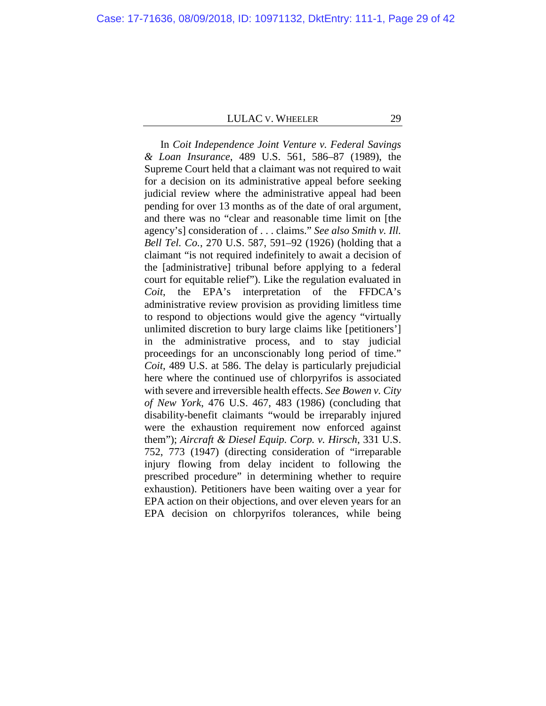In *Coit Independence Joint Venture v. Federal Savings & Loan Insurance*, 489 U.S. 561, 586–87 (1989), the Supreme Court held that a claimant was not required to wait for a decision on its administrative appeal before seeking judicial review where the administrative appeal had been pending for over 13 months as of the date of oral argument, and there was no "clear and reasonable time limit on [the agency's] consideration of . . . claims." *See also Smith v. Ill. Bell Tel. Co.*, 270 U.S. 587, 591–92 (1926) (holding that a claimant "is not required indefinitely to await a decision of the [administrative] tribunal before applying to a federal court for equitable relief"). Like the regulation evaluated in *Coit*, the EPA's interpretation of the FFDCA's administrative review provision as providing limitless time to respond to objections would give the agency "virtually unlimited discretion to bury large claims like [petitioners'] in the administrative process, and to stay judicial proceedings for an unconscionably long period of time." *Coit*, 489 U.S. at 586. The delay is particularly prejudicial here where the continued use of chlorpyrifos is associated with severe and irreversible health effects. *See Bowen v. City of New York*, 476 U.S. 467, 483 (1986) (concluding that disability-benefit claimants "would be irreparably injured were the exhaustion requirement now enforced against them"); *Aircraft & Diesel Equip. Corp. v. Hirsch*, 331 U.S. 752, 773 (1947) (directing consideration of "irreparable injury flowing from delay incident to following the prescribed procedure" in determining whether to require exhaustion). Petitioners have been waiting over a year for EPA action on their objections, and over eleven years for an EPA decision on chlorpyrifos tolerances, while being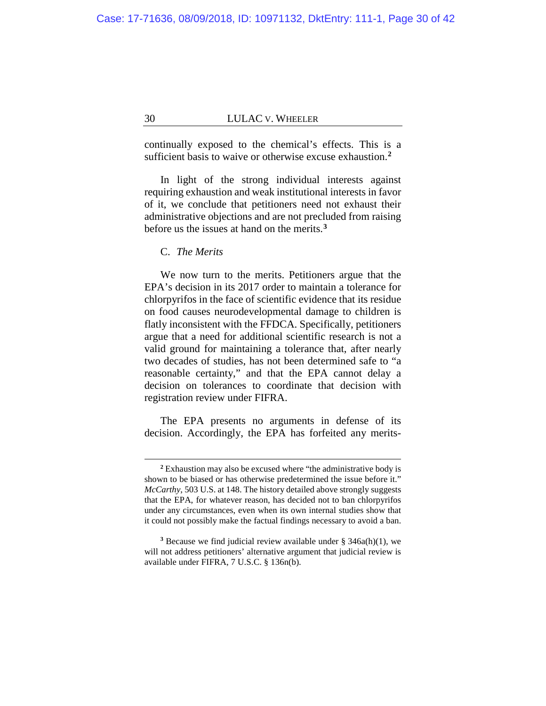continually exposed to the chemical's effects. This is a sufficient basis to waive or otherwise excuse exhaustion.**[2](#page-29-0)**

In light of the strong individual interests against requiring exhaustion and weak institutional interests in favor of it, we conclude that petitioners need not exhaust their administrative objections and are not precluded from raising before us the issues at hand on the merits.**[3](#page-29-1)**

C. *The Merits*

 $\overline{a}$ 

We now turn to the merits. Petitioners argue that the EPA's decision in its 2017 order to maintain a tolerance for chlorpyrifos in the face of scientific evidence that its residue on food causes neurodevelopmental damage to children is flatly inconsistent with the FFDCA. Specifically, petitioners argue that a need for additional scientific research is not a valid ground for maintaining a tolerance that, after nearly two decades of studies, has not been determined safe to "a reasonable certainty," and that the EPA cannot delay a decision on tolerances to coordinate that decision with registration review under FIFRA.

The EPA presents no arguments in defense of its decision. Accordingly, the EPA has forfeited any merits-

**<sup>2</sup>** Exhaustion may also be excused where "the administrative body is shown to be biased or has otherwise predetermined the issue before it." *McCarthy*, 503 U.S. at 148. The history detailed above strongly suggests that the EPA, for whatever reason, has decided not to ban chlorpyrifos under any circumstances, even when its own internal studies show that it could not possibly make the factual findings necessary to avoid a ban.

<span id="page-29-1"></span><span id="page-29-0"></span>**<sup>3</sup>** Because we find judicial review available under § 346a(h)(1), we will not address petitioners' alternative argument that judicial review is available under FIFRA, 7 U.S.C. § 136n(b).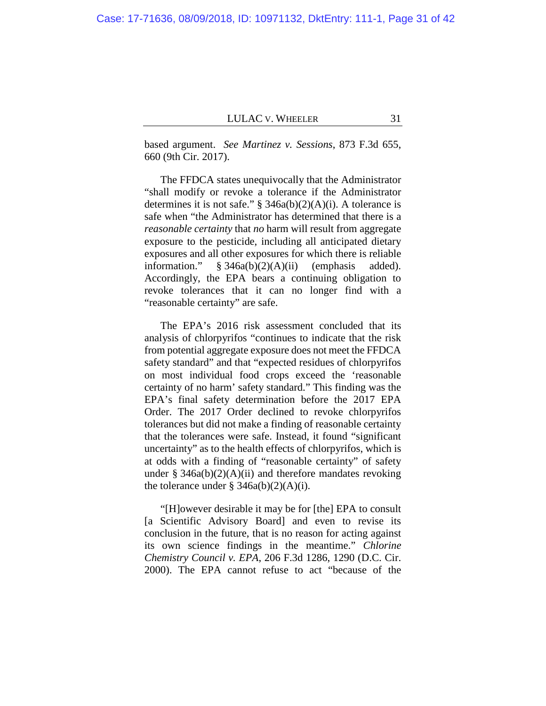based argument. *See Martinez v. Sessions*, 873 F.3d 655, 660 (9th Cir. 2017).

The FFDCA states unequivocally that the Administrator "shall modify or revoke a tolerance if the Administrator determines it is not safe." § 346a(b)(2)(A)(i). A tolerance is safe when "the Administrator has determined that there is a *reasonable certainty* that *no* harm will result from aggregate exposure to the pesticide, including all anticipated dietary exposures and all other exposures for which there is reliable information." § 346a(b)(2)(A)(ii) (emphasis added). Accordingly, the EPA bears a continuing obligation to revoke tolerances that it can no longer find with a "reasonable certainty" are safe.

The EPA's 2016 risk assessment concluded that its analysis of chlorpyrifos "continues to indicate that the risk from potential aggregate exposure does not meet the FFDCA safety standard" and that "expected residues of chlorpyrifos on most individual food crops exceed the 'reasonable certainty of no harm' safety standard." This finding was the EPA's final safety determination before the 2017 EPA Order. The 2017 Order declined to revoke chlorpyrifos tolerances but did not make a finding of reasonable certainty that the tolerances were safe. Instead, it found "significant uncertainty" as to the health effects of chlorpyrifos, which is at odds with a finding of "reasonable certainty" of safety under  $\S$  346a(b)(2)(A)(ii) and therefore mandates revoking the tolerance under  $\S$  346a(b)(2)(A)(i).

"[H]owever desirable it may be for [the] EPA to consult [a Scientific Advisory Board] and even to revise its conclusion in the future, that is no reason for acting against its own science findings in the meantime." *Chlorine Chemistry Council v. EPA*, 206 F.3d 1286, 1290 (D.C. Cir. 2000). The EPA cannot refuse to act "because of the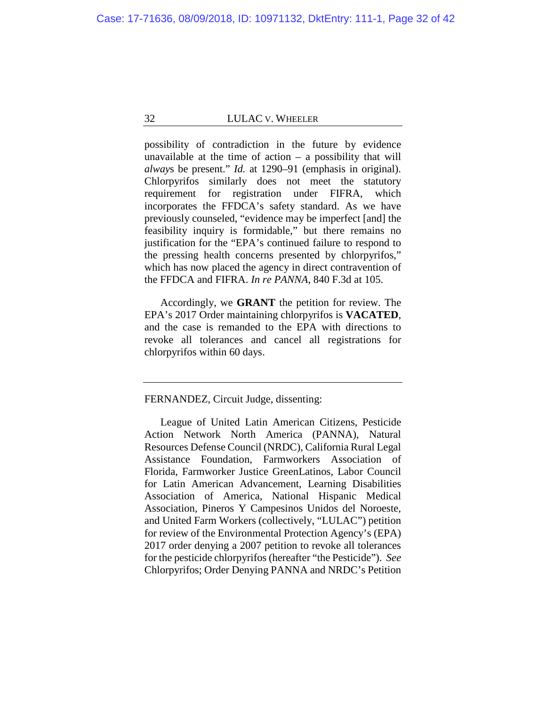possibility of contradiction in the future by evidence unavailable at the time of action  $-$  a possibility that will *alway*s be present." *Id.* at 1290–91 (emphasis in original). Chlorpyrifos similarly does not meet the statutory requirement for registration under FIFRA, which incorporates the FFDCA's safety standard. As we have previously counseled, "evidence may be imperfect [and] the feasibility inquiry is formidable," but there remains no justification for the "EPA's continued failure to respond to the pressing health concerns presented by chlorpyrifos," which has now placed the agency in direct contravention of the FFDCA and FIFRA. *In re PANNA*, 840 F.3d at 105.

Accordingly, we **GRANT** the petition for review. The EPA's 2017 Order maintaining chlorpyrifos is **VACATED**, and the case is remanded to the EPA with directions to revoke all tolerances and cancel all registrations for chlorpyrifos within 60 days.

# FERNANDEZ, Circuit Judge, dissenting:

League of United Latin American Citizens, Pesticide Action Network North America (PANNA), Natural Resources Defense Council (NRDC), California Rural Legal Assistance Foundation, Farmworkers Association of Florida, Farmworker Justice GreenLatinos, Labor Council for Latin American Advancement, Learning Disabilities Association of America, National Hispanic Medical Association, Pineros Y Campesinos Unidos del Noroeste, and United Farm Workers (collectively, "LULAC") petition for review of the Environmental Protection Agency's (EPA) 2017 order denying a 2007 petition to revoke all tolerances for the pesticide chlorpyrifos (hereafter "the Pesticide"). *See*  Chlorpyrifos; Order Denying PANNA and NRDC's Petition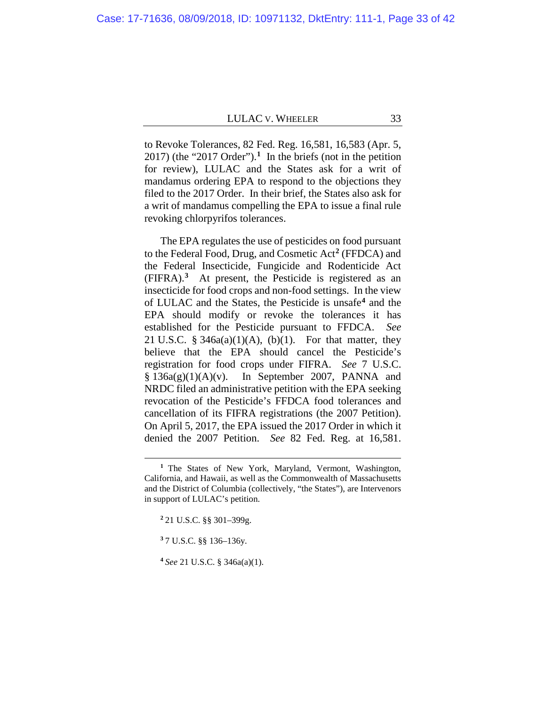to Revoke Tolerances, 82 Fed. Reg. 16,581, 16,583 (Apr. 5, 2017) (the "2017 Order").**[1](#page-32-0)** In the briefs (not in the petition for review), LULAC and the States ask for a writ of mandamus ordering EPA to respond to the objections they filed to the 2017 Order. In their brief, the States also ask for a writ of mandamus compelling the EPA to issue a final rule revoking chlorpyrifos tolerances.

The EPA regulates the use of pesticides on food pursuant to the Federal Food, Drug, and Cosmetic Act**[2](#page-32-1)** (FFDCA) and the Federal Insecticide, Fungicide and Rodenticide Act (FIFRA). **[3](#page-32-2)** At present, the Pesticide is registered as an insecticide for food crops and non-food settings. In the view of LULAC and the States, the Pesticide is unsafe**[4](#page-32-3)** and the EPA should modify or revoke the tolerances it has established for the Pesticide pursuant to FFDCA. *See* 21 U.S.C.  $\S$  346a(a)(1)(A), (b)(1). For that matter, they believe that the EPA should cancel the Pesticide's registration for food crops under FIFRA. *See* 7 U.S.C.  $§ 136a(g)(1)(A)(v)$ . In September 2007, PANNA and NRDC filed an administrative petition with the EPA seeking revocation of the Pesticide's FFDCA food tolerances and cancellation of its FIFRA registrations (the 2007 Petition). On April 5, 2017, the EPA issued the 2017 Order in which it denied the 2007 Petition. *See* 82 Fed. Reg. at 16,581.

**<sup>1</sup>** The States of New York, Maryland, Vermont, Washington, California, and Hawaii, as well as the Commonwealth of Massachusetts and the District of Columbia (collectively, "the States"), are Intervenors in support of LULAC's petition.

**<sup>2</sup>** 21 U.S.C. §§ 301–399g.

<span id="page-32-0"></span>**<sup>3</sup>** 7 U.S.C. §§ 136–136y.

<span id="page-32-3"></span><span id="page-32-2"></span><span id="page-32-1"></span>**<sup>4</sup>** *See* 21 U.S.C. § 346a(a)(1).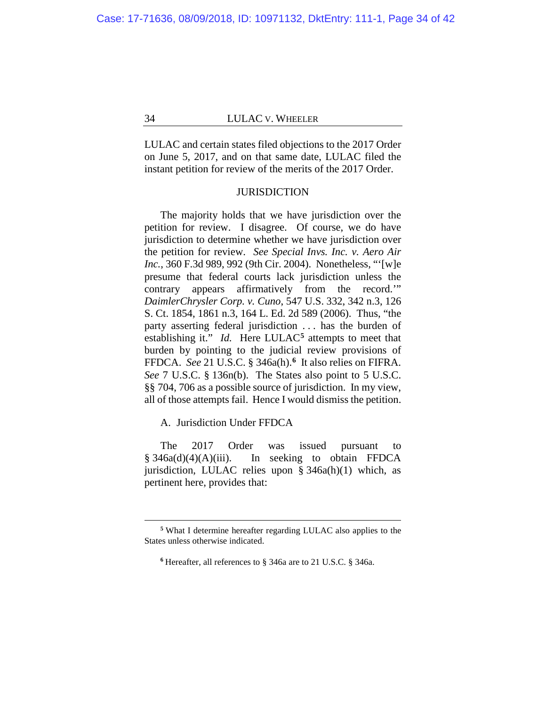LULAC and certain states filed objections to the 2017 Order on June 5, 2017, and on that same date, LULAC filed the instant petition for review of the merits of the 2017 Order.

## **JURISDICTION**

The majority holds that we have jurisdiction over the petition for review. I disagree. Of course, we do have jurisdiction to determine whether we have jurisdiction over the petition for review. *See Special Invs. Inc. v. Aero Air Inc.*, 360 F.3d 989, 992 (9th Cir. 2004). Nonetheless, "'[w]e presume that federal courts lack jurisdiction unless the contrary appears affirmatively from the record.'" *DaimlerChrysler Corp. v. Cuno*, 547 U.S. 332, 342 n.3, 126 S. Ct. 1854, 1861 n.3, 164 L. Ed. 2d 589 (2006). Thus, "the party asserting federal jurisdiction . . . has the burden of establishing it." *Id.* Here LULAC<sup>[5](#page-33-0)</sup> attempts to meet that burden by pointing to the judicial review provisions of FFDCA. *See* 21 U.S.C. § 346a(h).**[6](#page-33-1)** It also relies on FIFRA. *See* 7 U.S.C. § 136n(b). The States also point to 5 U.S.C. §§ 704, 706 as a possible source of jurisdiction. In my view, all of those attempts fail. Hence I would dismiss the petition.

A. Jurisdiction Under FFDCA

 $\overline{a}$ 

The 2017 Order was issued pursuant to § 346a(d)(4)(A)(iii). In seeking to obtain FFDCA jurisdiction, LULAC relies upon § 346a(h)(1) which, as pertinent here, provides that:

<span id="page-33-0"></span>**<sup>5</sup>** What I determine hereafter regarding LULAC also applies to the States unless otherwise indicated.

<span id="page-33-1"></span>**<sup>6</sup>** Hereafter, all references to § 346a are to 21 U.S.C. § 346a.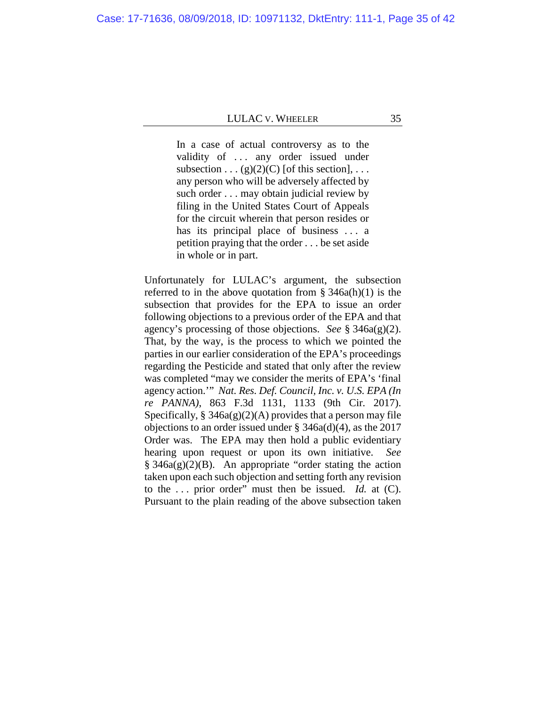In a case of actual controversy as to the validity of ... any order issued under subsection  $\dots$  (g)(2)(C) [of this section],  $\dots$ any person who will be adversely affected by such order . . . may obtain judicial review by filing in the United States Court of Appeals for the circuit wherein that person resides or has its principal place of business ... a petition praying that the order . . . be set aside in whole or in part.

Unfortunately for LULAC's argument, the subsection referred to in the above quotation from  $\S$  346a(h)(1) is the subsection that provides for the EPA to issue an order following objections to a previous order of the EPA and that agency's processing of those objections. *See* § 346a(g)(2). That, by the way, is the process to which we pointed the parties in our earlier consideration of the EPA's proceedings regarding the Pesticide and stated that only after the review was completed "may we consider the merits of EPA's 'final agency action.'" *Nat. Res. Def. Council, Inc. v. U.S. EPA (In re PANNA)*, 863 F.3d 1131, 1133 (9th Cir. 2017). Specifically,  $\S$  346a(g)(2)(A) provides that a person may file objections to an order issued under § 346a(d)(4), as the 2017 Order was. The EPA may then hold a public evidentiary hearing upon request or upon its own initiative. *See*  $§ 346a(g)(2)(B)$ . An appropriate "order stating the action taken upon each such objection and setting forth any revision to the . . . prior order" must then be issued. *Id.* at (C). Pursuant to the plain reading of the above subsection taken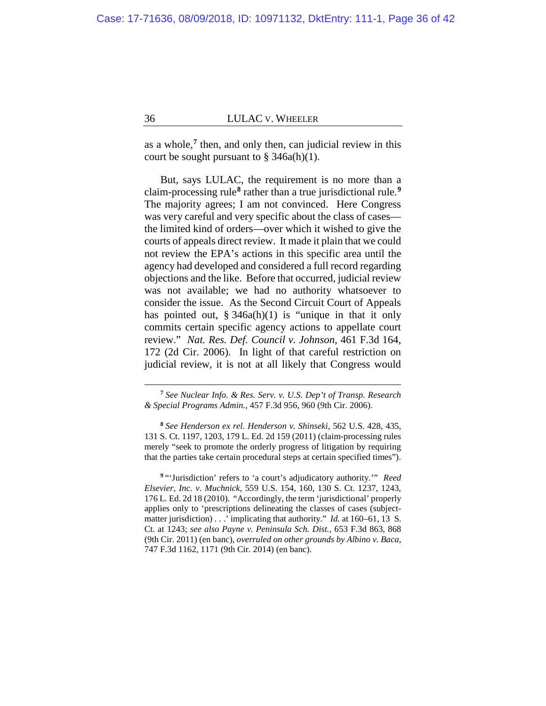as a whole,**[7](#page-35-0)** then, and only then, can judicial review in this court be sought pursuant to  $\S$  346a(h)(1).

But, says LULAC, the requirement is no more than a claim-processing rule**[8](#page-35-1)** rather than a true jurisdictional rule.**[9](#page-35-2)** The majority agrees; I am not convinced. Here Congress was very careful and very specific about the class of cases the limited kind of orders—over which it wished to give the courts of appeals direct review. It made it plain that we could not review the EPA's actions in this specific area until the agency had developed and considered a full record regarding objections and the like. Before that occurred, judicial review was not available; we had no authority whatsoever to consider the issue. As the Second Circuit Court of Appeals has pointed out, § 346a(h)(1) is "unique in that it only commits certain specific agency actions to appellate court review." *Nat. Res. Def. Council v. Johnson*, 461 F.3d 164, 172 (2d Cir. 2006). In light of that careful restriction on judicial review, it is not at all likely that Congress would

**<sup>7</sup>** *See Nuclear Info. & Res. Serv. v. U.S. Dep't of Transp. Research & Special Programs Admin.*, 457 F.3d 956, 960 (9th Cir. 2006).

**<sup>8</sup>** *See Henderson ex rel. Henderson v. Shinseki*, 562 U.S. 428, 435, 131 S. Ct. 1197, 1203, 179 L. Ed. 2d 159 (2011) (claim-processing rules merely "seek to promote the orderly progress of litigation by requiring that the parties take certain procedural steps at certain specified times").

<span id="page-35-2"></span><span id="page-35-1"></span><span id="page-35-0"></span>**<sup>9</sup>** "'Jurisdiction' refers to 'a court's adjudicatory authority.'" *Reed Elsevier, Inc. v. Muchnick*, 559 U.S. 154, 160, 130 S. Ct. 1237, 1243, 176 L. Ed. 2d 18 (2010). "Accordingly, the term 'jurisdictional' properly applies only to 'prescriptions delineating the classes of cases (subjectmatter jurisdiction) . . .' implicating that authority." *Id.* at 160–61, 13 S. Ct. at 1243; *see also Payne v. Peninsula Sch. Dist.*, 653 F.3d 863, 868 (9th Cir. 2011) (en banc), *overruled on other grounds by Albino v. Baca*, 747 F.3d 1162, 1171 (9th Cir. 2014) (en banc).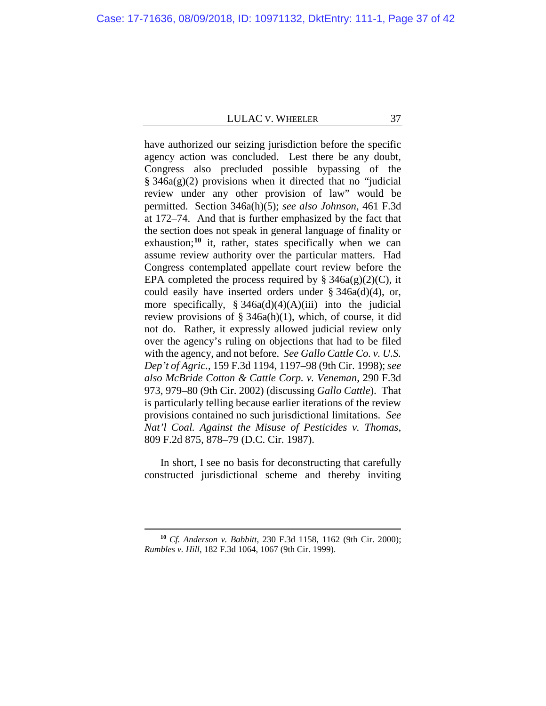<span id="page-36-0"></span>have authorized our seizing jurisdiction before the specific agency action was concluded. Lest there be any doubt, Congress also precluded possible bypassing of the  $§ 346a(g)(2)$  provisions when it directed that no "judicial" review under any other provision of law" would be permitted. Section 346a(h)(5); *see also Johnson*, 461 F.3d at 172–74. And that is further emphasized by the fact that the section does not speak in general language of finality or exhaustion;<sup>[10](#page-36-1)</sup> it, rather, states specifically when we can assume review authority over the particular matters. Had Congress contemplated appellate court review before the EPA completed the process required by  $\S$  346a(g)(2)(C), it could easily have inserted orders under § 346a(d)(4), or, more specifically,  $\S 346a(d)(4)(A)(iii)$  into the judicial review provisions of  $\S$  346a(h)(1), which, of course, it did not do. Rather, it expressly allowed judicial review only over the agency's ruling on objections that had to be filed with the agency, and not before. *See Gallo Cattle Co. v. U.S. Dep't of Agric.*, 159 F.3d 1194, 1197–98 (9th Cir. 1998); *see also McBride Cotton & Cattle Corp. v. Veneman*, 290 F.3d 973, 979–80 (9th Cir. 2002) (discussing *Gallo Cattle*). That is particularly telling because earlier iterations of the review provisions contained no such jurisdictional limitations. *See Nat'l Coal. Against the Misuse of Pesticides v. Thomas*, 809 F.2d 875, 878–79 (D.C. Cir. 1987).

In short, I see no basis for deconstructing that carefully constructed jurisdictional scheme and thereby inviting

<span id="page-36-1"></span>**<sup>10</sup>** *Cf. Anderson v. Babbitt*, 230 F.3d 1158, 1162 (9th Cir. 2000); *Rumbles v. Hill*, 182 F.3d 1064, 1067 (9th Cir. 1999).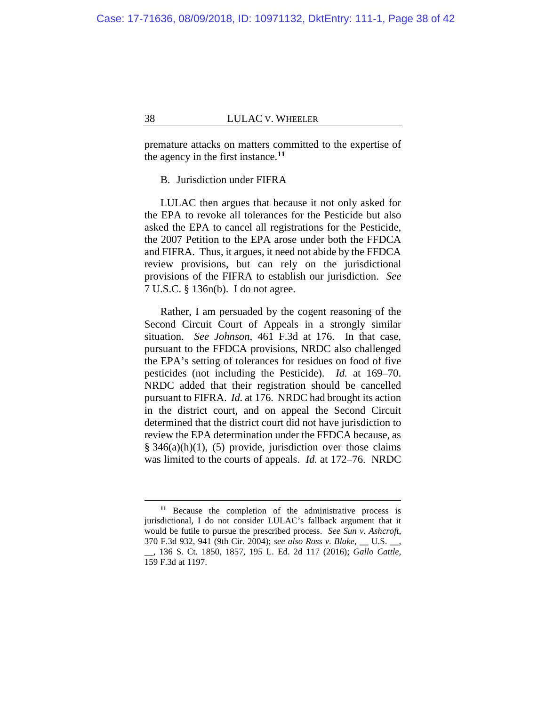premature attacks on matters committed to the expertise of the agency in the first instance.**[11](#page-37-0)**

# B. Jurisdiction under FIFRA

LULAC then argues that because it not only asked for the EPA to revoke all tolerances for the Pesticide but also asked the EPA to cancel all registrations for the Pesticide, the 2007 Petition to the EPA arose under both the FFDCA and FIFRA. Thus, it argues, it need not abide by the FFDCA review provisions, but can rely on the jurisdictional provisions of the FIFRA to establish our jurisdiction. *See* 7 U.S.C. § 136n(b). I do not agree.

Rather, I am persuaded by the cogent reasoning of the Second Circuit Court of Appeals in a strongly similar situation. *See Johnson*, 461 F.3d at 176. In that case, pursuant to the FFDCA provisions, NRDC also challenged the EPA's setting of tolerances for residues on food of five pesticides (not including the Pesticide). *Id.* at 169–70. NRDC added that their registration should be cancelled pursuant to FIFRA. *Id.* at 176. NRDC had brought its action in the district court, and on appeal the Second Circuit determined that the district court did not have jurisdiction to review the EPA determination under the FFDCA because, as  $§ 346(a)(h)(1)$ , (5) provide, jurisdiction over those claims was limited to the courts of appeals. *Id.* at 172–76. NRDC

<span id="page-37-0"></span>**<sup>11</sup>** Because the completion of the administrative process is jurisdictional, I do not consider LULAC's fallback argument that it would be futile to pursue the prescribed process. *See Sun v. Ashcroft*, 370 F.3d 932, 941 (9th Cir. 2004); *see also Ross v. Blake*, \_\_ U.S. \_\_, \_\_, 136 S. Ct. 1850, 1857, 195 L. Ed. 2d 117 (2016); *Gallo Cattle*, 159 F.3d at 1197.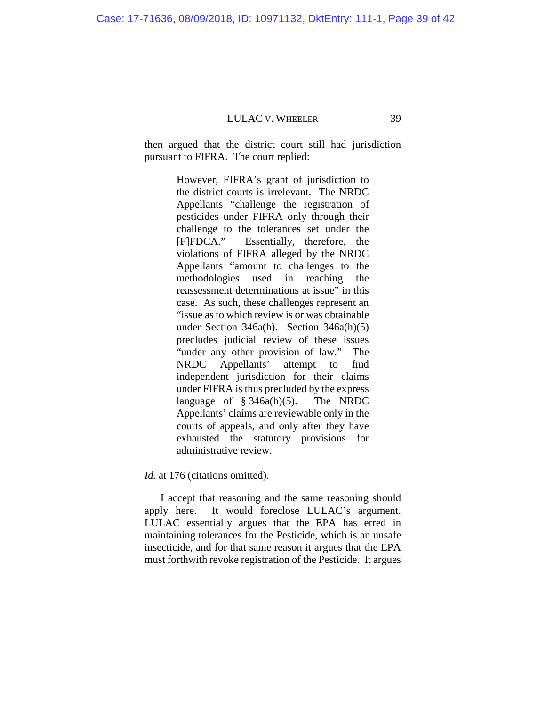Case: 17-71636, 08/09/2018, ID: 10971132, DktEntry: 111-1, Page 39 of 42

then argued that the district court still had jurisdiction pursuant to FIFRA. The court replied:

> However, FIFRA's grant of jurisdiction to the district courts is irrelevant. The NRDC Appellants "challenge the registration of pesticides under FIFRA only through their challenge to the tolerances set under the [F]FDCA." Essentially, therefore, the violations of FIFRA alleged by the NRDC Appellants "amount to challenges to the methodologies used in reaching the reassessment determinations at issue" in this case. As such, these challenges represent an "issue as to which review is or was obtainable under Section 346a(h). Section 346a(h)(5) precludes judicial review of these issues "under any other provision of law." The NRDC Appellants' attempt to find independent jurisdiction for their claims under FIFRA is thus precluded by the express language of  $\S$  346a(h)(5). The NRDC Appellants' claims are reviewable only in the courts of appeals, and only after they have exhausted the statutory provisions for administrative review.

Id. at 176 (citations omitted).

I accept that reasoning and the same reasoning should apply here. It would foreclose LULAC's argument. LULAC essentially argues that the EPA has erred in maintaining tolerances for the Pesticide, which is an unsafe insecticide, and for that same reason it argues that the EPA must forthwith revoke registration of the Pesticide. It argues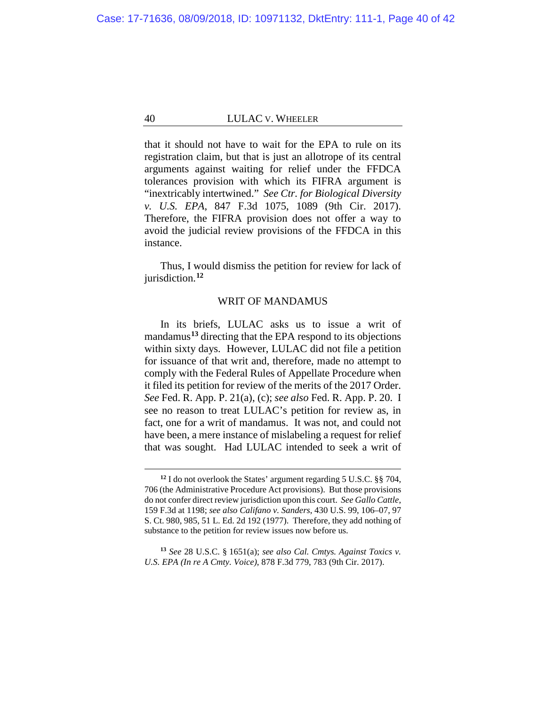that it should not have to wait for the EPA to rule on its registration claim, but that is just an allotrope of its central arguments against waiting for relief under the FFDCA tolerances provision with which its FIFRA argument is "inextricably intertwined." *See Ctr. for Biological Diversity v. U.S. EPA*, 847 F.3d 1075, 1089 (9th Cir. 2017). Therefore, the FIFRA provision does not offer a way to avoid the judicial review provisions of the FFDCA in this instance.

Thus, I would dismiss the petition for review for lack of jurisdiction.**[12](#page-39-0)**

## WRIT OF MANDAMUS

In its briefs, LULAC asks us to issue a writ of mandamus**[13](#page-39-1)** directing that the EPA respond to its objections within sixty days. However, LULAC did not file a petition for issuance of that writ and, therefore, made no attempt to comply with the Federal Rules of Appellate Procedure when it filed its petition for review of the merits of the 2017 Order. *See* Fed. R. App. P. 21(a), (c); *see also* Fed. R. App. P. 20. I see no reason to treat LULAC's petition for review as, in fact, one for a writ of mandamus. It was not, and could not have been, a mere instance of mislabeling a request for relief that was sought. Had LULAC intended to seek a writ of

**<sup>12</sup>** I do not overlook the States' argument regarding 5 U.S.C. §§ 704, 706 (the Administrative Procedure Act provisions). But those provisions do not confer direct review jurisdiction upon this court. *See Gallo Cattle*, 159 F.3d at 1198; *see also Califano v. Sanders*, 430 U.S. 99, 106–07, 97 S. Ct. 980, 985, 51 L. Ed. 2d 192 (1977). Therefore, they add nothing of substance to the petition for review issues now before us.

<span id="page-39-1"></span><span id="page-39-0"></span>**<sup>13</sup>** *See* 28 U.S.C. § 1651(a); *see also Cal. Cmtys. Against Toxics v. U.S. EPA (In re A Cmty. Voice)*, 878 F.3d 779, 783 (9th Cir. 2017).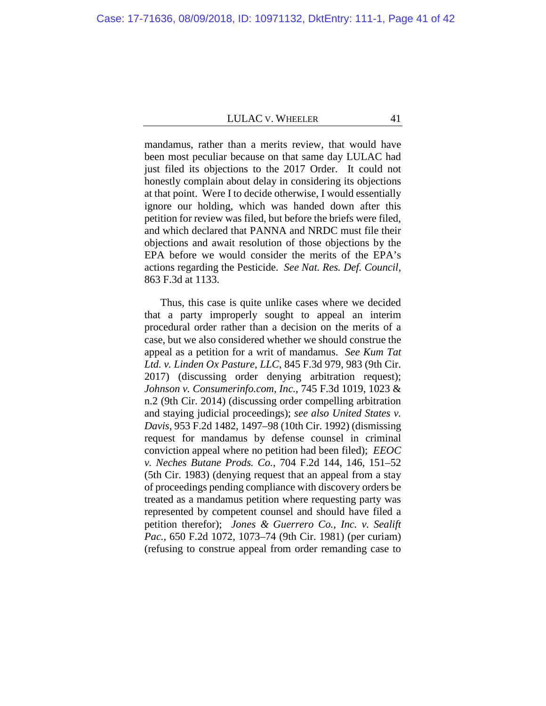mandamus, rather than a merits review, that would have been most peculiar because on that same day LULAC had just filed its objections to the 2017 Order. It could not honestly complain about delay in considering its objections at that point. Were I to decide otherwise, I would essentially ignore our holding, which was handed down after this petition for review was filed, but before the briefs were filed, and which declared that PANNA and NRDC must file their objections and await resolution of those objections by the EPA before we would consider the merits of the EPA's actions regarding the Pesticide. *See Nat. Res. Def. Council*, 863 F.3d at 1133.

Thus, this case is quite unlike cases where we decided that a party improperly sought to appeal an interim procedural order rather than a decision on the merits of a case, but we also considered whether we should construe the appeal as a petition for a writ of mandamus. *See Kum Tat Ltd. v. Linden Ox Pasture*, *LLC*, 845 F.3d 979, 983 (9th Cir. 2017) (discussing order denying arbitration request); *Johnson v. Consumerinfo.com, Inc.*, 745 F.3d 1019, 1023 & n.2 (9th Cir. 2014) (discussing order compelling arbitration and staying judicial proceedings); *see also United States v. Davis*, 953 F.2d 1482, 1497–98 (10th Cir. 1992) (dismissing request for mandamus by defense counsel in criminal conviction appeal where no petition had been filed); *EEOC v. Neches Butane Prods. Co.*, 704 F.2d 144, 146, 151–52 (5th Cir. 1983) (denying request that an appeal from a stay of proceedings pending compliance with discovery orders be treated as a mandamus petition where requesting party was represented by competent counsel and should have filed a petition therefor); *Jones & Guerrero Co., Inc. v. Sealift Pac.*, 650 F.2d 1072, 1073–74 (9th Cir. 1981) (per curiam) (refusing to construe appeal from order remanding case to